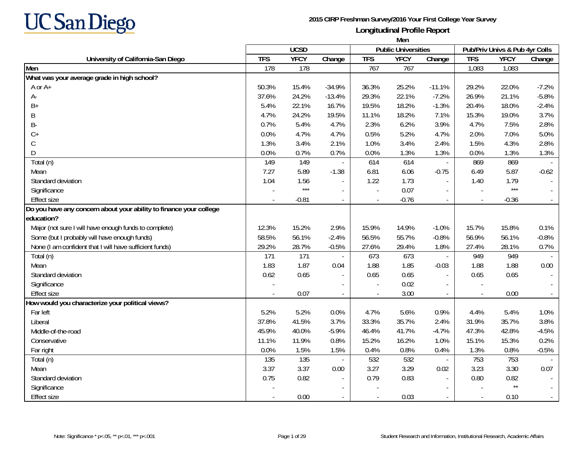

|                                                                    | Men        |             |                          |            |                            |                          |                          |                                |         |
|--------------------------------------------------------------------|------------|-------------|--------------------------|------------|----------------------------|--------------------------|--------------------------|--------------------------------|---------|
|                                                                    |            | <b>UCSD</b> |                          |            | <b>Public Universities</b> |                          |                          | Pub/Priv Univs & Pub 4yr Colls |         |
| University of California-San Diego                                 | <b>TFS</b> | <b>YFCY</b> | Change                   | <b>TFS</b> | <b>YFCY</b>                | Change                   | <b>TFS</b>               | <b>YFCY</b>                    | Change  |
| Men                                                                | 178        | 178         |                          | 767        | 767                        |                          | 1,083                    | 1,083                          |         |
| What was your average grade in high school?                        |            |             |                          |            |                            |                          |                          |                                |         |
| A or A+                                                            | 50.3%      | 15.4%       | $-34.9%$                 | 36.3%      | 25.2%                      | $-11.1%$                 | 29.2%                    | 22.0%                          | $-7.2%$ |
| А-                                                                 | 37.6%      | 24.2%       | $-13.4%$                 | 29.3%      | 22.1%                      | $-7.2%$                  | 26.9%                    | 21.1%                          | $-5.8%$ |
| $B+$                                                               | 5.4%       | 22.1%       | 16.7%                    | 19.5%      | 18.2%                      | $-1.3%$                  | 20.4%                    | 18.0%                          | $-2.4%$ |
| B                                                                  | 4.7%       | 24.2%       | 19.5%                    | 11.1%      | 18.2%                      | 7.1%                     | 15.3%                    | 19.0%                          | 3.7%    |
| B-                                                                 | 0.7%       | 5.4%        | 4.7%                     | 2.3%       | 6.2%                       | 3.9%                     | 4.7%                     | 7.5%                           | 2.8%    |
| $C+$                                                               | 0.0%       | 4.7%        | 4.7%                     | 0.5%       | 5.2%                       | 4.7%                     | 2.0%                     | 7.0%                           | 5.0%    |
| C                                                                  | 1.3%       | 3.4%        | 2.1%                     | 1.0%       | 3.4%                       | 2.4%                     | 1.5%                     | 4.3%                           | 2.8%    |
| D                                                                  | 0.0%       | 0.7%        | 0.7%                     | 0.0%       | 1.3%                       | 1.3%                     | 0.0%                     | 1.3%                           | 1.3%    |
| Total (n)                                                          | 149        | 149         |                          | 614        | 614                        | $\overline{\phantom{a}}$ | 869                      | 869                            |         |
| Mean                                                               | 7.27       | 5.89        | $-1.38$                  | 6.81       | 6.06                       | $-0.75$                  | 6.49                     | 5.87                           | $-0.62$ |
| Standard deviation                                                 | 1.04       | 1.56        |                          | 1.22       | 1.73                       | $\sim$                   | 1.40                     | 1.79                           |         |
| Significance                                                       |            | $***$       |                          | $\sim$     | 0.07                       |                          |                          | $***$                          |         |
| <b>Effect size</b>                                                 |            | $-0.81$     | $\overline{\phantom{a}}$ |            | $-0.76$                    | $\overline{\phantom{a}}$ | $\overline{\phantom{a}}$ | $-0.36$                        |         |
| Do you have any concern about your ability to finance your college |            |             |                          |            |                            |                          |                          |                                |         |
| education?                                                         |            |             |                          |            |                            |                          |                          |                                |         |
| Major (not sure I will have enough funds to complete)              | 12.3%      | 15.2%       | 2.9%                     | 15.9%      | 14.9%                      | $-1.0%$                  | 15.7%                    | 15.8%                          | 0.1%    |
| Some (but I probably will have enough funds)                       | 58.5%      | 56.1%       | $-2.4%$                  | 56.5%      | 55.7%                      | $-0.8%$                  | 56.9%                    | 56.1%                          | $-0.8%$ |
| None (I am confident that I will have sufficient funds)            | 29.2%      | 28.7%       | $-0.5%$                  | 27.6%      | 29.4%                      | 1.8%                     | 27.4%                    | 28.1%                          | 0.7%    |
| Total (n)                                                          | 171        | 171         |                          | 673        | 673                        | $\sim$                   | 949                      | 949                            |         |
| Mean                                                               | 1.83       | 1.87        | 0.04                     | 1.88       | 1.85                       | $-0.03$                  | 1.88                     | 1.88                           | 0.00    |
| Standard deviation                                                 | 0.62       | 0.65        |                          | 0.65       | 0.65                       | $\sim$                   | 0.65                     | 0.65                           |         |
| Significance                                                       |            |             |                          |            | 0.02                       |                          |                          |                                |         |
| <b>Effect size</b>                                                 |            | 0.07        |                          |            | 3.00                       | $\blacksquare$           |                          | 0.00                           |         |
| How would you characterize your political views?                   |            |             |                          |            |                            |                          |                          |                                |         |
| Far left                                                           | 5.2%       | 5.2%        | 0.0%                     | 4.7%       | 5.6%                       | 0.9%                     | 4.4%                     | 5.4%                           | 1.0%    |
| Liberal                                                            | 37.8%      | 41.5%       | 3.7%                     | 33.3%      | 35.7%                      | 2.4%                     | 31.9%                    | 35.7%                          | 3.8%    |
| Middle-of-the-road                                                 | 45.9%      | 40.0%       | $-5.9%$                  | 46.4%      | 41.7%                      | $-4.7%$                  | 47.3%                    | 42.8%                          | $-4.5%$ |
| Conservative                                                       | 11.1%      | 11.9%       | 0.8%                     | 15.2%      | 16.2%                      | 1.0%                     | 15.1%                    | 15.3%                          | 0.2%    |
| Far right                                                          | 0.0%       | 1.5%        | 1.5%                     | 0.4%       | 0.8%                       | 0.4%                     | 1.3%                     | 0.8%                           | $-0.5%$ |
| Total (n)                                                          | 135        | 135         |                          | 532        | 532                        | $\sim$                   | 753                      | 753                            |         |
| Mean                                                               | 3.37       | 3.37        | 0.00                     | 3.27       | 3.29                       | 0.02                     | 3.23                     | 3.30                           | 0.07    |
| Standard deviation                                                 | 0.75       | 0.82        |                          | 0.79       | 0.83                       |                          | 0.80                     | 0.82                           |         |
| Significance                                                       |            |             |                          |            |                            | $\sim$                   |                          | $\star\star$                   |         |
| <b>Effect size</b>                                                 |            | 0.00        |                          |            | 0.03                       |                          |                          | 0.10                           |         |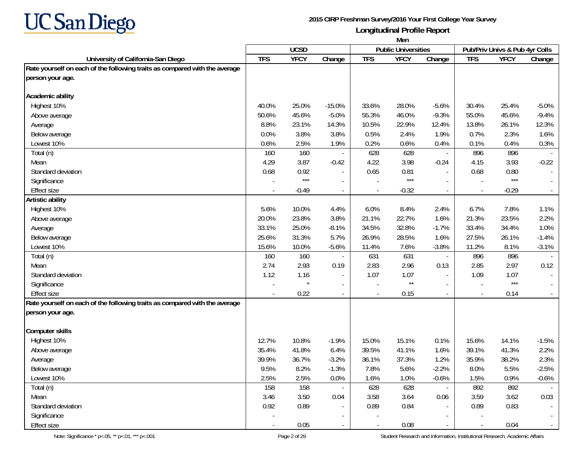

|                                                                            | Men                      |             |                          |                          |                            |                          |                          |                                |         |
|----------------------------------------------------------------------------|--------------------------|-------------|--------------------------|--------------------------|----------------------------|--------------------------|--------------------------|--------------------------------|---------|
|                                                                            |                          | <b>UCSD</b> |                          |                          | <b>Public Universities</b> |                          |                          | Pub/Priv Univs & Pub 4yr Colls |         |
| University of California-San Diego                                         | <b>TFS</b>               | <b>YFCY</b> | Change                   | <b>TFS</b>               | <b>YFCY</b>                | Change                   | <b>TFS</b>               | <b>YFCY</b>                    | Change  |
| Rate yourself on each of the following traits as compared with the average |                          |             |                          |                          |                            |                          |                          |                                |         |
| person your age.                                                           |                          |             |                          |                          |                            |                          |                          |                                |         |
|                                                                            |                          |             |                          |                          |                            |                          |                          |                                |         |
| Academic ability                                                           |                          |             |                          |                          |                            |                          |                          |                                |         |
| Highest 10%                                                                | 40.0%                    | 25.0%       | $-15.0%$                 | 33.6%                    | 28.0%                      | $-5.6%$                  | 30.4%                    | 25.4%                          | $-5.0%$ |
| Above average                                                              | 50.6%                    | 45.6%       | $-5.0%$                  | 55.3%                    | 46.0%                      | $-9.3%$                  | 55.0%                    | 45.6%                          | $-9.4%$ |
| Average                                                                    | 8.8%                     | 23.1%       | 14.3%                    | 10.5%                    | 22.9%                      | 12.4%                    | 13.8%                    | 26.1%                          | 12.3%   |
| Below average                                                              | 0.0%                     | 3.8%        | 3.8%                     | 0.5%                     | 2.4%                       | 1.9%                     | 0.7%                     | 2.3%                           | 1.6%    |
| Lowest 10%                                                                 | 0.6%                     | 2.5%        | 1.9%                     | 0.2%                     | 0.6%                       | 0.4%                     | 0.1%                     | 0.4%                           | 0.3%    |
| Total (n)                                                                  | 160                      | 160         |                          | 628                      | 628                        |                          | 896                      | 896                            |         |
| Mean                                                                       | 4.29                     | 3.87        | $-0.42$                  | 4.22                     | 3.98                       | $-0.24$                  | 4.15                     | 3.93                           | $-0.22$ |
| Standard deviation                                                         | 0.68                     | 0.92        |                          | 0.65                     | 0.81                       |                          | 0.68                     | 0.80                           |         |
| Significance                                                               |                          | $***$       |                          |                          | $***$                      |                          |                          | $***$                          |         |
| <b>Effect size</b>                                                         |                          | $-0.49$     | $\overline{\phantom{a}}$ |                          | $-0.32$                    | $\overline{\phantom{a}}$ |                          | $-0.29$                        | $\sim$  |
| <b>Artistic ability</b>                                                    |                          |             |                          |                          |                            |                          |                          |                                |         |
| Highest 10%                                                                | 5.6%                     | 10.0%       | 4.4%                     | 6.0%                     | 8.4%                       | 2.4%                     | 6.7%                     | 7.8%                           | 1.1%    |
| Above average                                                              | 20.0%                    | 23.8%       | 3.8%                     | 21.1%                    | 22.7%                      | 1.6%                     | 21.3%                    | 23.5%                          | 2.2%    |
| Average                                                                    | 33.1%                    | 25.0%       | $-8.1%$                  | 34.5%                    | 32.8%                      | $-1.7%$                  | 33.4%                    | 34.4%                          | 1.0%    |
| Below average                                                              | 25.6%                    | 31.3%       | 5.7%                     | 26.9%                    | 28.5%                      | 1.6%                     | 27.5%                    | 26.1%                          | $-1.4%$ |
| Lowest 10%                                                                 | 15.6%                    | 10.0%       | $-5.6%$                  | 11.4%                    | 7.6%                       | $-3.8%$                  | 11.2%                    | 8.1%                           | $-3.1%$ |
| Total (n)                                                                  | 160                      | 160         |                          | 631                      | 631                        |                          | 896                      | 896                            |         |
| Mean                                                                       | 2.74                     | 2.93        | 0.19                     | 2.83                     | 2.96                       | 0.13                     | 2.85                     | 2.97                           | 0.12    |
| Standard deviation                                                         | 1.12                     | 1.16        |                          | 1.07                     | 1.07                       |                          | 1.09                     | 1.07                           |         |
| Significance                                                               |                          |             |                          |                          | $^{\star\star}$            |                          |                          | $***$                          |         |
| <b>Effect size</b>                                                         |                          | 0.22        |                          |                          | 0.15                       | $\overline{\phantom{a}}$ |                          | 0.14                           |         |
| Rate yourself on each of the following traits as compared with the average |                          |             |                          |                          |                            |                          |                          |                                |         |
| person your age.                                                           |                          |             |                          |                          |                            |                          |                          |                                |         |
|                                                                            |                          |             |                          |                          |                            |                          |                          |                                |         |
| <b>Computer skills</b>                                                     |                          |             |                          |                          |                            |                          |                          |                                |         |
| Highest 10%                                                                | 12.7%                    | 10.8%       | $-1.9%$                  | 15.0%                    | 15.1%                      | 0.1%                     | 15.6%                    | 14.1%                          | $-1.5%$ |
| Above average                                                              | 35.4%                    | 41.8%       | 6.4%                     | 39.5%                    | 41.1%                      | 1.6%                     | 39.1%                    | 41.3%                          | 2.2%    |
| Average                                                                    | 39.9%                    | 36.7%       | $-3.2%$                  | 36.1%                    | 37.3%                      | 1.2%                     | 35.9%                    | 38.2%                          | 2.3%    |
| Below average                                                              | 9.5%                     | 8.2%        | $-1.3%$                  | 7.8%                     | 5.6%                       | $-2.2%$                  | 8.0%                     | 5.5%                           | $-2.5%$ |
| Lowest 10%                                                                 | 2.5%                     | 2.5%        | 0.0%                     | 1.6%                     | 1.0%                       | $-0.6%$                  | 1.5%                     | 0.9%                           | $-0.6%$ |
| Total (n)                                                                  | 158                      | 158         |                          | 628                      | 628                        |                          | 892                      | 892                            |         |
| Mean                                                                       | 3.46                     | 3.50        | 0.04                     | 3.58                     | 3.64                       | 0.06                     | 3.59                     | 3.62                           | 0.03    |
| Standard deviation                                                         | 0.92                     | 0.89        | $\overline{\phantom{a}}$ | 0.89                     | 0.84                       |                          | 0.89                     | 0.83                           |         |
| Significance                                                               |                          |             |                          |                          |                            |                          |                          |                                |         |
| <b>Effect size</b>                                                         | $\overline{\phantom{a}}$ | 0.05        | $\sim$                   | $\overline{\phantom{a}}$ | 0.08                       | $\sim$                   | $\overline{\phantom{a}}$ | 0.04                           | $\sim$  |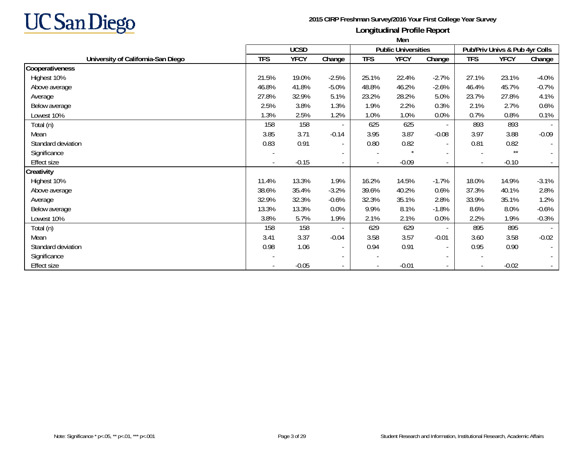

|                                    | Men        |             |                          |            |                            |                          |                          |                                |                          |
|------------------------------------|------------|-------------|--------------------------|------------|----------------------------|--------------------------|--------------------------|--------------------------------|--------------------------|
|                                    |            | <b>UCSD</b> |                          |            | <b>Public Universities</b> |                          |                          | Pub/Priv Univs & Pub 4yr Colls |                          |
| University of California-San Diego | <b>TFS</b> | <b>YFCY</b> | Change                   | <b>TFS</b> | <b>YFCY</b>                | Change                   | <b>TFS</b>               | <b>YFCY</b>                    | Change                   |
| Cooperativeness                    |            |             |                          |            |                            |                          |                          |                                |                          |
| Highest 10%                        | 21.5%      | 19.0%       | $-2.5%$                  | 25.1%      | 22.4%                      | $-2.7%$                  | 27.1%                    | 23.1%                          | $-4.0%$                  |
| Above average                      | 46.8%      | 41.8%       | $-5.0%$                  | 48.8%      | 46.2%                      | $-2.6%$                  | 46.4%                    | 45.7%                          | $-0.7%$                  |
| Average                            | 27.8%      | 32.9%       | 5.1%                     | 23.2%      | 28.2%                      | 5.0%                     | 23.7%                    | 27.8%                          | 4.1%                     |
| Below average                      | 2.5%       | 3.8%        | 1.3%                     | 1.9%       | 2.2%                       | 0.3%                     | 2.1%                     | 2.7%                           | 0.6%                     |
| Lowest 10%                         | 1.3%       | 2.5%        | 1.2%                     | 1.0%       | 1.0%                       | 0.0%                     | 0.7%                     | 0.8%                           | 0.1%                     |
| Total (n)                          | 158        | 158         | $\overline{\phantom{a}}$ | 625        | 625                        | $\overline{\phantom{a}}$ | 893                      | 893                            |                          |
| Mean                               | 3.85       | 3.71        | $-0.14$                  | 3.95       | 3.87                       | $-0.08$                  | 3.97                     | 3.88                           | $-0.09$                  |
| Standard deviation                 | 0.83       | 0.91        | $\overline{\phantom{a}}$ | 0.80       | 0.82                       | $\sim$                   | 0.81                     | 0.82                           | $\overline{\phantom{a}}$ |
| Significance                       |            |             | $\sim$                   |            | $\star$                    | $\sim$                   |                          | $\star\star$                   | $\overline{\phantom{0}}$ |
| <b>Effect size</b>                 |            | $-0.15$     | $\sim$                   |            | $-0.09$                    | $\sim$                   | $\blacksquare$           | $-0.10$                        |                          |
| Creativity                         |            |             |                          |            |                            |                          |                          |                                |                          |
| Highest 10%                        | 11.4%      | 13.3%       | 1.9%                     | 16.2%      | 14.5%                      | $-1.7%$                  | 18.0%                    | 14.9%                          | $-3.1%$                  |
| Above average                      | 38.6%      | 35.4%       | $-3.2%$                  | 39.6%      | 40.2%                      | 0.6%                     | 37.3%                    | 40.1%                          | 2.8%                     |
| Average                            | 32.9%      | 32.3%       | $-0.6%$                  | 32.3%      | 35.1%                      | 2.8%                     | 33.9%                    | 35.1%                          | 1.2%                     |
| Below average                      | 13.3%      | 13.3%       | 0.0%                     | 9.9%       | 8.1%                       | $-1.8%$                  | 8.6%                     | 8.0%                           | $-0.6%$                  |
| Lowest 10%                         | 3.8%       | 5.7%        | 1.9%                     | 2.1%       | 2.1%                       | 0.0%                     | 2.2%                     | 1.9%                           | $-0.3%$                  |
| Total (n)                          | 158        | 158         | $\overline{\phantom{a}}$ | 629        | 629                        | $\sim$                   | 895                      | 895                            |                          |
| Mean                               | 3.41       | 3.37        | $-0.04$                  | 3.58       | 3.57                       | $-0.01$                  | 3.60                     | 3.58                           | $-0.02$                  |
| Standard deviation                 | 0.98       | 1.06        | $\overline{\phantom{a}}$ | 0.94       | 0.91                       | $\blacksquare$           | 0.95                     | 0.90                           | $\overline{\phantom{a}}$ |
| Significance                       |            |             | $\sim$                   |            |                            | $\blacksquare$           | $\overline{\phantom{a}}$ |                                | $\blacksquare$           |
| <b>Effect size</b>                 |            | $-0.05$     | $\sim$                   |            | $-0.01$                    | $\overline{\phantom{a}}$ | $\overline{\phantom{a}}$ | $-0.02$                        |                          |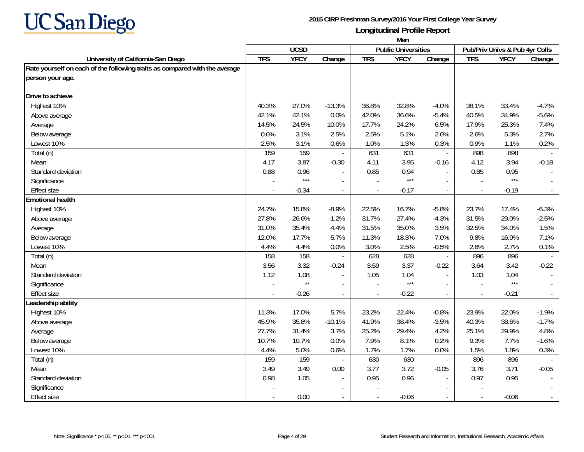

|                                                                            | Men            |              |                          |                          |                            |                          |                                |             |                             |
|----------------------------------------------------------------------------|----------------|--------------|--------------------------|--------------------------|----------------------------|--------------------------|--------------------------------|-------------|-----------------------------|
|                                                                            |                | <b>UCSD</b>  |                          |                          | <b>Public Universities</b> |                          | Pub/Priv Univs & Pub 4yr Colls |             |                             |
| University of California-San Diego                                         | <b>TFS</b>     | <b>YFCY</b>  | Change                   | <b>TFS</b>               | <b>YFCY</b>                | Change                   | <b>TFS</b>                     | <b>YFCY</b> | Change                      |
| Rate yourself on each of the following traits as compared with the average |                |              |                          |                          |                            |                          |                                |             |                             |
| person your age.                                                           |                |              |                          |                          |                            |                          |                                |             |                             |
| Drive to achieve                                                           |                |              |                          |                          |                            |                          |                                |             |                             |
| Highest 10%                                                                | 40.3%          | 27.0%        | $-13.3%$                 | 36.8%                    | 32.8%                      | $-4.0%$                  | 38.1%                          | 33.4%       | $-4.7%$                     |
| Above average                                                              | 42.1%          | 42.1%        | 0.0%                     | 42.0%                    | 36.6%                      | $-5.4%$                  | 40.5%                          | 34.9%       | $-5.6%$                     |
| Average                                                                    | 14.5%          | 24.5%        | 10.0%                    | 17.7%                    | 24.2%                      | 6.5%                     | 17.9%                          | 25.3%       | 7.4%                        |
| Below average                                                              | 0.6%           | 3.1%         | 2.5%                     | 2.5%                     | 5.1%                       | 2.6%                     | 2.6%                           | 5.3%        | 2.7%                        |
| Lowest 10%                                                                 | 2.5%           | 3.1%         | 0.6%                     | 1.0%                     | 1.3%                       | 0.3%                     | 0.9%                           | 1.1%        | 0.2%                        |
| Total (n)                                                                  | 159            | 159          |                          | 631                      | 631                        | $\overline{\phantom{a}}$ | 898                            | 898         |                             |
| Mean                                                                       | 4.17           | 3.87         | $-0.30$                  | 4.11                     | 3.95                       | $-0.16$                  | 4.12                           | 3.94        | $-0.18$                     |
| Standard deviation                                                         | 0.88           | 0.96         | $\overline{a}$           | 0.85                     | 0.94                       | $\overline{a}$           | 0.85                           | 0.95        |                             |
| Significance                                                               |                | $***$        | $\overline{\phantom{a}}$ |                          | $***$                      |                          |                                | $***$       |                             |
| <b>Effect size</b>                                                         |                | $-0.34$      | $\overline{\phantom{a}}$ |                          | $-0.17$                    | $\blacksquare$           |                                | $-0.19$     | $\omega_{\rm c}$            |
| <b>Emotional health</b>                                                    |                |              |                          |                          |                            |                          |                                |             |                             |
| Highest 10%                                                                | 24.7%          | 15.8%        | $-8.9%$                  | 22.5%                    | 16.7%                      | $-5.8%$                  | 23.7%                          | 17.4%       | $-6.3%$                     |
| Above average                                                              | 27.8%          | 26.6%        | $-1.2%$                  | 31.7%                    | 27.4%                      | $-4.3%$                  | 31.5%                          | 29.0%       | $-2.5%$                     |
| Average                                                                    | 31.0%          | 35.4%        | 4.4%                     | 31.5%                    | 35.0%                      | 3.5%                     | 32.5%                          | 34.0%       | 1.5%                        |
| Below average                                                              | 12.0%          | 17.7%        | 5.7%                     | 11.3%                    | 18.3%                      | 7.0%                     | 9.8%                           | 16.9%       | 7.1%                        |
| Lowest 10%                                                                 | 4.4%           | 4.4%         | 0.0%                     | 3.0%                     | 2.5%                       | $-0.5%$                  | 2.6%                           | 2.7%        | 0.1%                        |
| Total (n)                                                                  | 158            | 158          |                          | 628                      | 628                        | $\overline{\phantom{a}}$ | 896                            | 896         |                             |
| Mean                                                                       | 3.56           | 3.32         | $-0.24$                  | 3.59                     | 3.37                       | $-0.22$                  | 3.64                           | 3.42        | $-0.22$                     |
| Standard deviation                                                         | 1.12           | 1.08         |                          | 1.05                     | 1.04                       | $\overline{a}$           | 1.03                           | 1.04        | $\mathbb{L}$                |
| Significance                                                               |                | $\star\star$ |                          |                          | $***$                      |                          |                                | $***$       |                             |
| <b>Effect size</b>                                                         | $\overline{a}$ | $-0.26$      | $\overline{a}$           | $\overline{\phantom{a}}$ | $-0.22$                    | $\blacksquare$           | $\sim$                         | $-0.21$     | $\mathcal{L}_{\mathcal{A}}$ |
| Leadership ability                                                         |                |              |                          |                          |                            |                          |                                |             |                             |
| Highest 10%                                                                | 11.3%          | 17.0%        | 5.7%                     | 23.2%                    | 22.4%                      | $-0.8%$                  | 23.9%                          | 22.0%       | $-1.9%$                     |
| Above average                                                              | 45.9%          | 35.8%        | $-10.1%$                 | 41.9%                    | 38.4%                      | $-3.5%$                  | 40.3%                          | 38.6%       | $-1.7%$                     |
| Average                                                                    | 27.7%          | 31.4%        | 3.7%                     | 25.2%                    | 29.4%                      | 4.2%                     | 25.1%                          | 29.9%       | 4.8%                        |
| Below average                                                              | 10.7%          | 10.7%        | 0.0%                     | 7.9%                     | 8.1%                       | 0.2%                     | 9.3%                           | 7.7%        | $-1.6%$                     |
| Lowest 10%                                                                 | 4.4%           | 5.0%         | 0.6%                     | 1.7%                     | 1.7%                       | 0.0%                     | 1.5%                           | 1.8%        | 0.3%                        |
| Total (n)                                                                  | 159            | 159          |                          | 630                      | 630                        | $\blacksquare$           | 896                            | 896         |                             |
| Mean                                                                       | 3.49           | 3.49         | 0.00                     | 3.77                     | 3.72                       | $-0.05$                  | 3.76                           | 3.71        | $-0.05$                     |
| Standard deviation                                                         | 0.98           | 1.05         | $\overline{\phantom{a}}$ | 0.95                     | 0.96                       |                          | 0.97                           | 0.95        | $\blacksquare$              |
| Significance                                                               |                |              |                          |                          |                            |                          |                                |             |                             |
| <b>Effect size</b>                                                         |                | 0.00         |                          |                          | $-0.06$                    |                          |                                | $-0.06$     | $\sim$                      |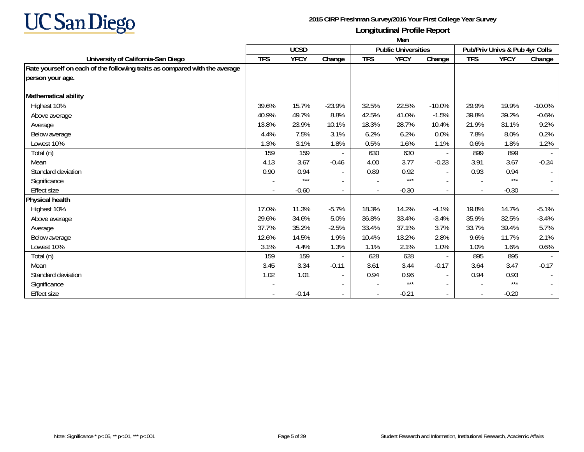

|                                                                            | Men        |             |                          |            |                            |                          |            |                                |          |  |
|----------------------------------------------------------------------------|------------|-------------|--------------------------|------------|----------------------------|--------------------------|------------|--------------------------------|----------|--|
|                                                                            |            | <b>UCSD</b> |                          |            | <b>Public Universities</b> |                          |            | Pub/Priv Univs & Pub 4yr Colls |          |  |
| University of California-San Diego                                         | <b>TFS</b> | <b>YFCY</b> | Change                   | <b>TFS</b> | <b>YFCY</b>                | Change                   | <b>TFS</b> | <b>YFCY</b>                    | Change   |  |
| Rate yourself on each of the following traits as compared with the average |            |             |                          |            |                            |                          |            |                                |          |  |
| person your age.                                                           |            |             |                          |            |                            |                          |            |                                |          |  |
| Mathematical ability                                                       |            |             |                          |            |                            |                          |            |                                |          |  |
| Highest 10%                                                                | 39.6%      | 15.7%       | $-23.9%$                 | 32.5%      | 22.5%                      | $-10.0\%$                | 29.9%      | 19.9%                          | $-10.0%$ |  |
| Above average                                                              | 40.9%      | 49.7%       | 8.8%                     | 42.5%      | 41.0%                      | $-1.5%$                  | 39.8%      | 39.2%                          | $-0.6%$  |  |
| Average                                                                    | 13.8%      | 23.9%       | 10.1%                    | 18.3%      | 28.7%                      | 10.4%                    | 21.9%      | 31.1%                          | 9.2%     |  |
| Below average                                                              | 4.4%       | 7.5%        | 3.1%                     | 6.2%       | 6.2%                       | 0.0%                     | 7.8%       | 8.0%                           | 0.2%     |  |
| Lowest 10%                                                                 | 1.3%       | 3.1%        | 1.8%                     | 0.5%       | 1.6%                       | 1.1%                     | 0.6%       | 1.8%                           | 1.2%     |  |
| Total (n)                                                                  | 159        | 159         |                          | 630        | 630                        | $\overline{\phantom{a}}$ | 899        | 899                            |          |  |
| Mean                                                                       | 4.13       | 3.67        | $-0.46$                  | 4.00       | 3.77                       | $-0.23$                  | 3.91       | 3.67                           | $-0.24$  |  |
| Standard deviation                                                         | 0.90       | 0.94        | $\overline{\phantom{a}}$ | 0.89       | 0.92                       | $\overline{\phantom{a}}$ | 0.93       | 0.94                           | $\sim$   |  |
| Significance                                                               |            | $***$       | $\overline{\phantom{a}}$ |            | $***$                      |                          |            | $***$                          | $\sim$   |  |
| Effect size                                                                |            | $-0.60$     | $\overline{\phantom{a}}$ |            | $-0.30$                    |                          |            | $-0.30$                        | $\sim$   |  |
| Physical health                                                            |            |             |                          |            |                            |                          |            |                                |          |  |
| Highest 10%                                                                | 17.0%      | 11.3%       | $-5.7%$                  | 18.3%      | 14.2%                      | $-4.1%$                  | 19.8%      | 14.7%                          | $-5.1%$  |  |
| Above average                                                              | 29.6%      | 34.6%       | 5.0%                     | 36.8%      | 33.4%                      | $-3.4%$                  | 35.9%      | 32.5%                          | $-3.4%$  |  |
| Average                                                                    | 37.7%      | 35.2%       | $-2.5%$                  | 33.4%      | 37.1%                      | 3.7%                     | 33.7%      | 39.4%                          | 5.7%     |  |
| Below average                                                              | 12.6%      | 14.5%       | 1.9%                     | 10.4%      | 13.2%                      | 2.8%                     | 9.6%       | 11.7%                          | 2.1%     |  |
| Lowest 10%                                                                 | 3.1%       | 4.4%        | 1.3%                     | 1.1%       | 2.1%                       | 1.0%                     | 1.0%       | 1.6%                           | 0.6%     |  |
| Total (n)                                                                  | 159        | 159         | $\overline{\phantom{a}}$ | 628        | 628                        | $\blacksquare$           | 895        | 895                            |          |  |
| Mean                                                                       | 3.45       | 3.34        | $-0.11$                  | 3.61       | 3.44                       | $-0.17$                  | 3.64       | 3.47                           | $-0.17$  |  |
| Standard deviation                                                         | 1.02       | 1.01        | $\overline{\phantom{a}}$ | 0.94       | 0.96                       | $\overline{\phantom{a}}$ | 0.94       | 0.93                           | $\sim$   |  |
| Significance                                                               |            |             | $\overline{\phantom{a}}$ |            | $***$                      | $\overline{\phantom{a}}$ |            | $***$                          | $\sim$   |  |
| Effect size                                                                |            | $-0.14$     | $\overline{a}$           |            | $-0.21$                    |                          |            | $-0.20$                        | $\sim$   |  |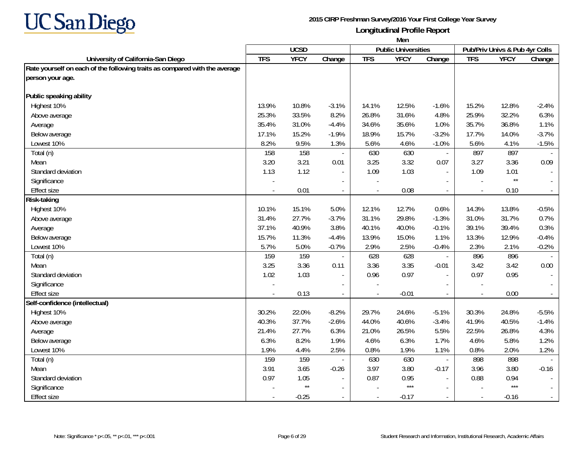

|                                                                            | Men            |              |                          |            |                            |                          |                                |                 |         |
|----------------------------------------------------------------------------|----------------|--------------|--------------------------|------------|----------------------------|--------------------------|--------------------------------|-----------------|---------|
|                                                                            |                | <b>UCSD</b>  |                          |            | <b>Public Universities</b> |                          | Pub/Priv Univs & Pub 4yr Colls |                 |         |
| University of California-San Diego                                         | <b>TFS</b>     | <b>YFCY</b>  | Change                   | <b>TFS</b> | <b>YFCY</b>                | Change                   | <b>TFS</b>                     | <b>YFCY</b>     | Change  |
| Rate yourself on each of the following traits as compared with the average |                |              |                          |            |                            |                          |                                |                 |         |
| person your age.                                                           |                |              |                          |            |                            |                          |                                |                 |         |
| Public speaking ability                                                    |                |              |                          |            |                            |                          |                                |                 |         |
| Highest 10%                                                                | 13.9%          | 10.8%        | $-3.1%$                  | 14.1%      | 12.5%                      | $-1.6%$                  | 15.2%                          | 12.8%           | $-2.4%$ |
| Above average                                                              | 25.3%          | 33.5%        | 8.2%                     | 26.8%      | 31.6%                      | 4.8%                     | 25.9%                          | 32.2%           | 6.3%    |
| Average                                                                    | 35.4%          | 31.0%        | $-4.4%$                  | 34.6%      | 35.6%                      | 1.0%                     | 35.7%                          | 36.8%           | 1.1%    |
| Below average                                                              | 17.1%          | 15.2%        | $-1.9%$                  | 18.9%      | 15.7%                      | $-3.2%$                  | 17.7%                          | 14.0%           | $-3.7%$ |
| Lowest 10%                                                                 | 8.2%           | 9.5%         | 1.3%                     | 5.6%       | 4.6%                       | $-1.0%$                  | 5.6%                           | 4.1%            | $-1.5%$ |
| Total (n)                                                                  | 158            | 158          |                          | 630        | 630                        | $\overline{\phantom{a}}$ | 897                            | 897             |         |
| Mean                                                                       | 3.20           | 3.21         | 0.01                     | 3.25       | 3.32                       | 0.07                     | 3.27                           | 3.36            | 0.09    |
| Standard deviation                                                         | 1.13           | 1.12         |                          | 1.09       | 1.03                       | $\mathbf{r}$             | 1.09                           | 1.01            |         |
| Significance                                                               |                |              |                          |            |                            | $\blacksquare$           |                                | $^{\star\star}$ |         |
| <b>Effect size</b>                                                         |                | 0.01         | $\overline{\phantom{a}}$ |            | 0.08                       | $\overline{\phantom{a}}$ | $\overline{a}$                 | 0.10            |         |
| Risk-taking                                                                |                |              |                          |            |                            |                          |                                |                 |         |
| Highest 10%                                                                | 10.1%          | 15.1%        | 5.0%                     | 12.1%      | 12.7%                      | 0.6%                     | 14.3%                          | 13.8%           | $-0.5%$ |
| Above average                                                              | 31.4%          | 27.7%        | $-3.7%$                  | 31.1%      | 29.8%                      | $-1.3%$                  | 31.0%                          | 31.7%           | 0.7%    |
| Average                                                                    | 37.1%          | 40.9%        | 3.8%                     | 40.1%      | 40.0%                      | $-0.1%$                  | 39.1%                          | 39.4%           | 0.3%    |
| Below average                                                              | 15.7%          | 11.3%        | $-4.4%$                  | 13.9%      | 15.0%                      | 1.1%                     | 13.3%                          | 12.9%           | $-0.4%$ |
| Lowest 10%                                                                 | 5.7%           | 5.0%         | $-0.7%$                  | 2.9%       | 2.5%                       | $-0.4%$                  | 2.3%                           | 2.1%            | $-0.2%$ |
| Total (n)                                                                  | 159            | 159          |                          | 628        | 628                        | $\overline{\phantom{a}}$ | 896                            | 896             |         |
| Mean                                                                       | 3.25           | 3.36         | 0.11                     | 3.36       | 3.35                       | $-0.01$                  | 3.42                           | 3.42            | 0.00    |
| Standard deviation                                                         | 1.02           | 1.03         |                          | 0.96       | 0.97                       | $\mathbf{r}$             | 0.97                           | 0.95            |         |
| Significance                                                               |                |              |                          |            |                            |                          |                                |                 |         |
| <b>Effect size</b>                                                         | $\overline{a}$ | 0.13         | $\overline{a}$           |            | $-0.01$                    | $\omega$                 | $\overline{\phantom{a}}$       | 0.00            | $\sim$  |
| Self-confidence (intellectual)                                             |                |              |                          |            |                            |                          |                                |                 |         |
| Highest 10%                                                                | 30.2%          | 22.0%        | $-8.2%$                  | 29.7%      | 24.6%                      | $-5.1%$                  | 30.3%                          | 24.8%           | $-5.5%$ |
| Above average                                                              | 40.3%          | 37.7%        | $-2.6%$                  | 44.0%      | 40.6%                      | $-3.4%$                  | 41.9%                          | 40.5%           | $-1.4%$ |
| Average                                                                    | 21.4%          | 27.7%        | 6.3%                     | 21.0%      | 26.5%                      | 5.5%                     | 22.5%                          | 26.8%           | 4.3%    |
| Below average                                                              | 6.3%           | 8.2%         | 1.9%                     | 4.6%       | 6.3%                       | 1.7%                     | 4.6%                           | 5.8%            | 1.2%    |
| Lowest 10%                                                                 | 1.9%           | 4.4%         | 2.5%                     | 0.8%       | 1.9%                       | 1.1%                     | 0.8%                           | 2.0%            | 1.2%    |
| Total (n)                                                                  | 159            | 159          |                          | 630        | 630                        | $\overline{\phantom{a}}$ | 898                            | 898             |         |
| Mean                                                                       | 3.91           | 3.65         | $-0.26$                  | 3.97       | 3.80                       | $-0.17$                  | 3.96                           | 3.80            | $-0.16$ |
| Standard deviation                                                         | 0.97           | 1.05         |                          | 0.87       | 0.95                       | $\mathbf{r}$             | 0.88                           | 0.94            |         |
| Significance                                                               |                | $\star\star$ |                          |            | $***$                      |                          |                                | $***$           |         |
| <b>Effect size</b>                                                         |                | $-0.25$      |                          |            | $-0.17$                    | $\sim$                   | $\blacksquare$                 | $-0.16$         |         |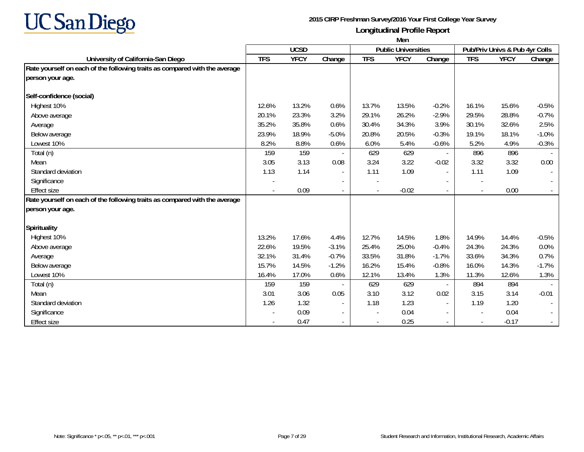

|                                                                            | Men        |             |                          |            |                            |                          |                                |             |         |  |
|----------------------------------------------------------------------------|------------|-------------|--------------------------|------------|----------------------------|--------------------------|--------------------------------|-------------|---------|--|
|                                                                            |            | <b>UCSD</b> |                          |            | <b>Public Universities</b> |                          | Pub/Priv Univs & Pub 4yr Colls |             |         |  |
| University of California-San Diego                                         | <b>TFS</b> | <b>YFCY</b> | Change                   | <b>TFS</b> | <b>YFCY</b>                | Change                   | <b>TFS</b>                     | <b>YFCY</b> | Change  |  |
| Rate yourself on each of the following traits as compared with the average |            |             |                          |            |                            |                          |                                |             |         |  |
| person your age.                                                           |            |             |                          |            |                            |                          |                                |             |         |  |
|                                                                            |            |             |                          |            |                            |                          |                                |             |         |  |
| Self-confidence (social)                                                   |            |             |                          |            |                            |                          |                                |             |         |  |
| Highest 10%                                                                | 12.6%      | 13.2%       | 0.6%                     | 13.7%      | 13.5%                      | $-0.2%$                  | 16.1%                          | 15.6%       | $-0.5%$ |  |
| Above average                                                              | 20.1%      | 23.3%       | 3.2%                     | 29.1%      | 26.2%                      | $-2.9%$                  | 29.5%                          | 28.8%       | $-0.7%$ |  |
| Average                                                                    | 35.2%      | 35.8%       | 0.6%                     | 30.4%      | 34.3%                      | 3.9%                     | 30.1%                          | 32.6%       | 2.5%    |  |
| Below average                                                              | 23.9%      | 18.9%       | $-5.0%$                  | 20.8%      | 20.5%                      | $-0.3%$                  | 19.1%                          | 18.1%       | $-1.0%$ |  |
| Lowest 10%                                                                 | 8.2%       | 8.8%        | 0.6%                     | 6.0%       | 5.4%                       | $-0.6%$                  | 5.2%                           | 4.9%        | $-0.3%$ |  |
| Total (n)                                                                  | 159        | 159         |                          | 629        | 629                        | $\sim$                   | 896                            | 896         |         |  |
| Mean                                                                       | 3.05       | 3.13        | 0.08                     | 3.24       | 3.22                       | $-0.02$                  | 3.32                           | 3.32        | 0.00    |  |
| Standard deviation                                                         | 1.13       | 1.14        | $\overline{\phantom{a}}$ | 1.11       | 1.09                       | $\sim$                   | 1.11                           | 1.09        |         |  |
| Significance                                                               |            |             |                          |            |                            |                          | $\overline{\phantom{a}}$       |             |         |  |
| <b>Effect size</b>                                                         |            | 0.09        | $\overline{\phantom{a}}$ |            | $-0.02$                    | $\overline{\phantom{a}}$ | $\blacksquare$                 | 0.00        |         |  |
| Rate yourself on each of the following traits as compared with the average |            |             |                          |            |                            |                          |                                |             |         |  |
| person your age.                                                           |            |             |                          |            |                            |                          |                                |             |         |  |
| Spirituality                                                               |            |             |                          |            |                            |                          |                                |             |         |  |
| Highest 10%                                                                | 13.2%      | 17.6%       | 4.4%                     | 12.7%      | 14.5%                      | 1.8%                     | 14.9%                          | 14.4%       | $-0.5%$ |  |
| Above average                                                              | 22.6%      | 19.5%       | $-3.1%$                  | 25.4%      | 25.0%                      | $-0.4%$                  | 24.3%                          | 24.3%       | 0.0%    |  |
| Average                                                                    | 32.1%      | 31.4%       | $-0.7%$                  | 33.5%      | 31.8%                      | $-1.7%$                  | 33.6%                          | 34.3%       | 0.7%    |  |
| Below average                                                              | 15.7%      | 14.5%       | $-1.2%$                  | 16.2%      | 15.4%                      | $-0.8%$                  | 16.0%                          | 14.3%       | $-1.7%$ |  |
| Lowest 10%                                                                 | 16.4%      | 17.0%       | 0.6%                     | 12.1%      | 13.4%                      | 1.3%                     | 11.3%                          | 12.6%       | 1.3%    |  |
| Total (n)                                                                  | 159        | 159         |                          | 629        | 629                        | $\overline{\phantom{a}}$ | 894                            | 894         |         |  |
| Mean                                                                       | 3.01       | 3.06        | 0.05                     | 3.10       | 3.12                       | 0.02                     | 3.15                           | 3.14        | $-0.01$ |  |
| Standard deviation                                                         | 1.26       | 1.32        | $\overline{\phantom{a}}$ | 1.18       | 1.23                       | $\overline{\phantom{a}}$ | 1.19                           | 1.20        |         |  |
| Significance                                                               |            | 0.09        | $\overline{\phantom{a}}$ |            | 0.04                       | $\overline{\phantom{a}}$ | $\overline{\phantom{a}}$       | 0.04        |         |  |
| <b>Effect size</b>                                                         |            | 0.47        | $\overline{\phantom{a}}$ |            | 0.25                       | $\overline{\phantom{a}}$ | $\overline{\phantom{a}}$       | $-0.17$     |         |  |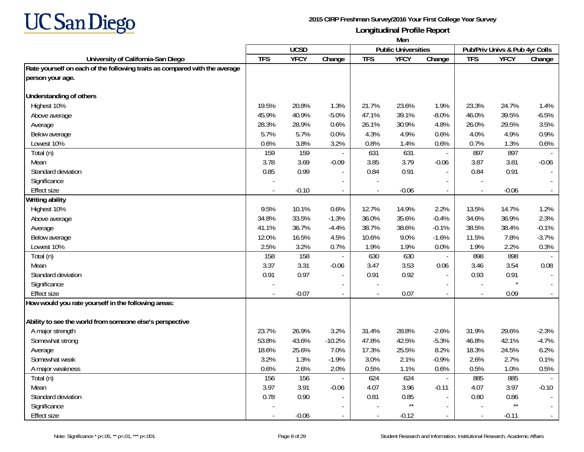

|                                                                            | Men            |             |                |                          |                            |                          |                |                                |                             |
|----------------------------------------------------------------------------|----------------|-------------|----------------|--------------------------|----------------------------|--------------------------|----------------|--------------------------------|-----------------------------|
|                                                                            |                | <b>UCSD</b> |                |                          | <b>Public Universities</b> |                          |                | Pub/Priv Univs & Pub 4yr Colls |                             |
| University of California-San Diego                                         | <b>TFS</b>     | <b>YFCY</b> | Change         | <b>TFS</b>               | <b>YFCY</b>                | Change                   | <b>TFS</b>     | <b>YFCY</b>                    | Change                      |
| Rate yourself on each of the following traits as compared with the average |                |             |                |                          |                            |                          |                |                                |                             |
| person your age.                                                           |                |             |                |                          |                            |                          |                |                                |                             |
| <b>Understanding of others</b>                                             |                |             |                |                          |                            |                          |                |                                |                             |
| Highest 10%                                                                | 19.5%          | 20.8%       | 1.3%           | 21.7%                    | 23.6%                      | 1.9%                     | 23.3%          | 24.7%                          | 1.4%                        |
| Above average                                                              | 45.9%          | 40.9%       | $-5.0%$        | 47.1%                    | 39.1%                      | $-8.0%$                  | 46.0%          | 39.5%                          | $-6.5%$                     |
| Average                                                                    | 28.3%          | 28.9%       | 0.6%           | 26.1%                    | 30.9%                      | 4.8%                     | 26.0%          | 29.5%                          | 3.5%                        |
| Below average                                                              | 5.7%           | 5.7%        | 0.0%           | 4.3%                     | 4.9%                       | 0.6%                     | 4.0%           | 4.9%                           | 0.9%                        |
| Lowest 10%                                                                 | 0.6%           | 3.8%        | 3.2%           | 0.8%                     | 1.4%                       | 0.6%                     | 0.7%           | 1.3%                           | 0.6%                        |
| Total (n)                                                                  | 159            | 159         | $\sim$         | 631                      | 631                        | $\overline{\phantom{a}}$ | 897            | 897                            |                             |
| Mean                                                                       | 3.78           | 3.69        | $-0.09$        | 3.85                     | 3.79                       | $-0.06$                  | 3.87           | 3.81                           | $-0.06$                     |
| Standard deviation                                                         | 0.85           | 0.99        |                | 0.84                     | 0.91                       |                          | 0.84           | 0.91                           |                             |
| Significance                                                               |                |             |                |                          |                            |                          |                |                                |                             |
| <b>Effect size</b>                                                         |                | $-0.10$     |                |                          | $-0.06$                    | $\sim$                   |                | $-0.06$                        | $\mathcal{L}_{\mathcal{A}}$ |
| <b>Writing ability</b>                                                     |                |             |                |                          |                            |                          |                |                                |                             |
| Highest 10%                                                                | 9.5%           | 10.1%       | 0.6%           | 12.7%                    | 14.9%                      | 2.2%                     | 13.5%          | 14.7%                          | 1.2%                        |
| Above average                                                              | 34.8%          | 33.5%       | $-1.3%$        | 36.0%                    | 35.6%                      | $-0.4%$                  | 34.6%          | 36.9%                          | 2.3%                        |
| Average                                                                    | 41.1%          | 36.7%       | $-4.4%$        | 38.7%                    | 38.6%                      | $-0.1%$                  | 38.5%          | 38.4%                          | $-0.1%$                     |
| Below average                                                              | 12.0%          | 16.5%       | 4.5%           | 10.6%                    | 9.0%                       | $-1.6%$                  | 11.5%          | 7.8%                           | $-3.7%$                     |
| Lowest 10%                                                                 | 2.5%           | 3.2%        | 0.7%           | 1.9%                     | 1.9%                       | 0.0%                     | 1.9%           | 2.2%                           | 0.3%                        |
| Total (n)                                                                  | 158            | 158         | $\overline{a}$ | 630                      | 630                        | $\equiv$                 | 898            | 898                            | $\sim$                      |
| Mean                                                                       | 3.37           | 3.31        | $-0.06$        | 3.47                     | 3.53                       | 0.06                     | 3.46           | 3.54                           | 0.08                        |
| Standard deviation                                                         | 0.91           | 0.97        | $\overline{a}$ | 0.91                     | 0.92                       | $\blacksquare$           | 0.93           | 0.91                           | $\overline{\phantom{a}}$    |
| Significance                                                               |                |             |                |                          |                            | $\overline{\phantom{a}}$ |                | $\star$                        |                             |
| Effect size                                                                | $\overline{a}$ | $-0.07$     | $\overline{a}$ | $\overline{\phantom{a}}$ | 0.07                       | $\sim$                   | $\overline{a}$ | 0.09                           | $\sim$                      |
| How would you rate yourself in the following areas:                        |                |             |                |                          |                            |                          |                |                                |                             |
| Ability to see the world from someone else's perspective                   |                |             |                |                          |                            |                          |                |                                |                             |
| A major strength                                                           | 23.7%          | 26.9%       | 3.2%           | 31.4%                    | 28.8%                      | $-2.6%$                  | 31.9%          | 29.6%                          | $-2.3%$                     |
| Somewhat strong                                                            | 53.8%          | 43.6%       | $-10.2%$       | 47.8%                    | 42.5%                      | $-5.3%$                  | 46.8%          | 42.1%                          | $-4.7%$                     |
| Average                                                                    | 18.6%          | 25.6%       | 7.0%           | 17.3%                    | 25.5%                      | 8.2%                     | 18.3%          | 24.5%                          | 6.2%                        |
| Somewhat weak                                                              | 3.2%           | 1.3%        | $-1.9%$        | 3.0%                     | 2.1%                       | $-0.9%$                  | 2.6%           | 2.7%                           | 0.1%                        |
| A major weakness                                                           | 0.6%           | 2.6%        | 2.0%           | 0.5%                     | 1.1%                       | 0.6%                     | 0.5%           | 1.0%                           | 0.5%                        |
| Total (n)                                                                  | 156            | 156         | $\blacksquare$ | 624                      | 624                        | $\overline{\phantom{a}}$ | 885            | 885                            | $\sim$                      |
| Mean                                                                       | 3.97           | 3.91        | $-0.06$        | 4.07                     | 3.96                       | $-0.11$                  | 4.07           | 3.97                           | $-0.10$                     |
| Standard deviation                                                         | 0.78           | 0.90        | $\blacksquare$ | 0.81                     | 0.85                       | $\mathbf{r}$             | 0.80           | 0.86                           | $\overline{\phantom{a}}$    |
| Significance                                                               |                |             |                |                          | $\star\star$               | $\sim$                   |                | $\star\star$                   |                             |
| <b>Effect size</b>                                                         |                | $-0.06$     |                |                          | $-0.12$                    |                          |                | $-0.11$                        | $\overline{\phantom{a}}$    |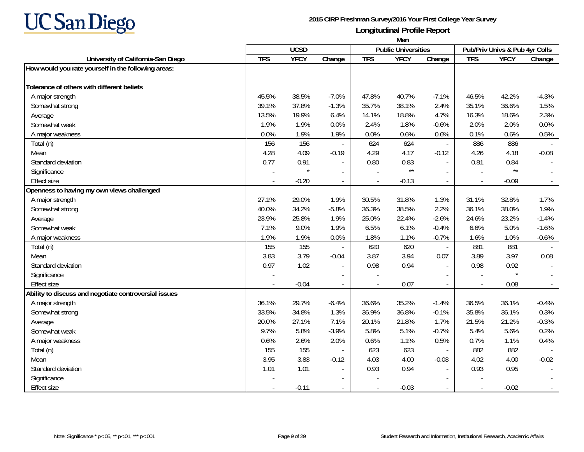

|                                                       | Men        |             |                          |            |                            |                          |                          |                                |         |
|-------------------------------------------------------|------------|-------------|--------------------------|------------|----------------------------|--------------------------|--------------------------|--------------------------------|---------|
|                                                       |            | <b>UCSD</b> |                          |            | <b>Public Universities</b> |                          |                          | Pub/Priv Univs & Pub 4yr Colls |         |
| University of California-San Diego                    | <b>TFS</b> | <b>YFCY</b> | Change                   | <b>TFS</b> | <b>YFCY</b>                | Change                   | <b>TFS</b>               | <b>YFCY</b>                    | Change  |
| How would you rate yourself in the following areas:   |            |             |                          |            |                            |                          |                          |                                |         |
| Tolerance of others with different beliefs            |            |             |                          |            |                            |                          |                          |                                |         |
| A major strength                                      | 45.5%      | 38.5%       | $-7.0%$                  | 47.8%      | 40.7%                      | $-7.1%$                  | 46.5%                    | 42.2%                          | $-4.3%$ |
| Somewhat strong                                       | 39.1%      | 37.8%       | $-1.3%$                  | 35.7%      | 38.1%                      | 2.4%                     | 35.1%                    | 36.6%                          | 1.5%    |
| Average                                               | 13.5%      | 19.9%       | 6.4%                     | 14.1%      | 18.8%                      | 4.7%                     | 16.3%                    | 18.6%                          | 2.3%    |
| Somewhat weak                                         | 1.9%       | 1.9%        | 0.0%                     | 2.4%       | 1.8%                       | $-0.6%$                  | 2.0%                     | 2.0%                           | 0.0%    |
| A major weakness                                      | 0.0%       | 1.9%        | 1.9%                     | 0.0%       | 0.6%                       | 0.6%                     | 0.1%                     | 0.6%                           | 0.5%    |
| Total (n)                                             | 156        | 156         |                          | 624        | 624                        | $\sim$                   | 886                      | 886                            |         |
| Mean                                                  | 4.28       | 4.09        | $-0.19$                  | 4.29       | 4.17                       | $-0.12$                  | 4.26                     | 4.18                           | $-0.08$ |
| Standard deviation                                    | 0.77       | 0.91        | $\blacksquare$           | 0.80       | 0.83                       | $\overline{\phantom{a}}$ | 0.81                     | 0.84                           |         |
| Significance                                          |            |             |                          |            | $^{\star\star}$            | $\sim$                   |                          | $\star\star$                   |         |
| <b>Effect size</b>                                    |            | $-0.20$     | $\blacksquare$           |            | $-0.13$                    | $\overline{\phantom{a}}$ | $\overline{\phantom{a}}$ | $-0.09$                        |         |
| Openness to having my own views challenged            |            |             |                          |            |                            |                          |                          |                                |         |
| A major strength                                      | 27.1%      | 29.0%       | 1.9%                     | 30.5%      | 31.8%                      | 1.3%                     | 31.1%                    | 32.8%                          | 1.7%    |
| Somewhat strong                                       | 40.0%      | 34.2%       | $-5.8%$                  | 36.3%      | 38.5%                      | 2.2%                     | 36.1%                    | 38.0%                          | 1.9%    |
| Average                                               | 23.9%      | 25.8%       | 1.9%                     | 25.0%      | 22.4%                      | $-2.6%$                  | 24.6%                    | 23.2%                          | $-1.4%$ |
| Somewhat weak                                         | 7.1%       | 9.0%        | 1.9%                     | 6.5%       | 6.1%                       | $-0.4%$                  | 6.6%                     | 5.0%                           | $-1.6%$ |
| A major weakness                                      | 1.9%       | 1.9%        | 0.0%                     | 1.8%       | 1.1%                       | $-0.7%$                  | 1.6%                     | 1.0%                           | $-0.6%$ |
| Total (n)                                             | 155        | 155         |                          | 620        | 620                        | $\sim$                   | 881                      | 881                            |         |
| Mean                                                  | 3.83       | 3.79        | $-0.04$                  | 3.87       | 3.94                       | 0.07                     | 3.89                     | 3.97                           | 0.08    |
| Standard deviation                                    | 0.97       | 1.02        |                          | 0.98       | 0.94                       |                          | 0.98                     | 0.92                           |         |
| Significance                                          |            |             |                          |            |                            |                          |                          | $\star$                        |         |
| Effect size                                           | $\sim$     | $-0.04$     | $\overline{\phantom{a}}$ | $\sim$     | 0.07                       | $\sim$                   | $\overline{\phantom{a}}$ | 0.08                           |         |
| Ability to discuss and negotiate controversial issues |            |             |                          |            |                            |                          |                          |                                |         |
| A major strength                                      | 36.1%      | 29.7%       | $-6.4%$                  | 36.6%      | 35.2%                      | $-1.4%$                  | 36.5%                    | 36.1%                          | $-0.4%$ |
| Somewhat strong                                       | 33.5%      | 34.8%       | 1.3%                     | 36.9%      | 36.8%                      | $-0.1%$                  | 35.8%                    | 36.1%                          | 0.3%    |
| Average                                               | 20.0%      | 27.1%       | 7.1%                     | 20.1%      | 21.8%                      | 1.7%                     | 21.5%                    | 21.2%                          | $-0.3%$ |
| Somewhat weak                                         | 9.7%       | 5.8%        | $-3.9%$                  | 5.8%       | 5.1%                       | $-0.7%$                  | 5.4%                     | 5.6%                           | 0.2%    |
| A major weakness                                      | 0.6%       | 2.6%        | 2.0%                     | 0.6%       | 1.1%                       | 0.5%                     | 0.7%                     | 1.1%                           | 0.4%    |
| Total (n)                                             | 155        | 155         |                          | 623        | 623                        | $\sim$                   | 882                      | 882                            |         |
| Mean                                                  | 3.95       | 3.83        | $-0.12$                  | 4.03       | 4.00                       | $-0.03$                  | 4.02                     | 4.00                           | $-0.02$ |
| Standard deviation                                    | 1.01       | 1.01        | $\overline{\phantom{a}}$ | 0.93       | 0.94                       |                          | 0.93                     | 0.95                           | $\sim$  |
| Significance                                          |            |             |                          |            |                            |                          |                          |                                |         |
| <b>Effect size</b>                                    |            | $-0.11$     |                          |            | $-0.03$                    |                          |                          | $-0.02$                        |         |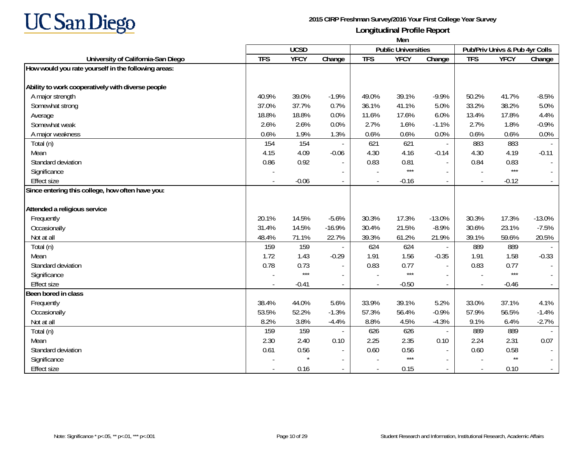

|                                                     | Men        |             |          |            |                            |                          |                          |                                |                             |
|-----------------------------------------------------|------------|-------------|----------|------------|----------------------------|--------------------------|--------------------------|--------------------------------|-----------------------------|
|                                                     |            | <b>UCSD</b> |          |            | <b>Public Universities</b> |                          |                          | Pub/Priv Univs & Pub 4yr Colls |                             |
| University of California-San Diego                  | <b>TFS</b> | <b>YFCY</b> | Change   | <b>TFS</b> | <b>YFCY</b>                | Change                   | <b>TFS</b>               | <b>YFCY</b>                    | Change                      |
| How would you rate yourself in the following areas: |            |             |          |            |                            |                          |                          |                                |                             |
| Ability to work cooperatively with diverse people   |            |             |          |            |                            |                          |                          |                                |                             |
| A major strength                                    | 40.9%      | 39.0%       | $-1.9%$  | 49.0%      | 39.1%                      | $-9.9%$                  | 50.2%                    | 41.7%                          | $-8.5%$                     |
| Somewhat strong                                     | 37.0%      | 37.7%       | 0.7%     | 36.1%      | 41.1%                      | 5.0%                     | 33.2%                    | 38.2%                          | 5.0%                        |
| Average                                             | 18.8%      | 18.8%       | 0.0%     | 11.6%      | 17.6%                      | 6.0%                     | 13.4%                    | 17.8%                          | 4.4%                        |
| Somewhat weak                                       | 2.6%       | 2.6%        | 0.0%     | 2.7%       | 1.6%                       | $-1.1%$                  | 2.7%                     | 1.8%                           | $-0.9%$                     |
| A major weakness                                    | 0.6%       | 1.9%        | 1.3%     | 0.6%       | 0.6%                       | 0.0%                     | 0.6%                     | 0.6%                           | 0.0%                        |
| Total (n)                                           | 154        | 154         |          | 621        | 621                        | $\blacksquare$           | 883                      | 883                            |                             |
| Mean                                                | 4.15       | 4.09        | $-0.06$  | 4.30       | 4.16                       | $-0.14$                  | 4.30                     | 4.19                           | $-0.11$                     |
| Standard deviation                                  | 0.86       | 0.92        |          | 0.83       | 0.81                       | $\sim$                   | 0.84                     | 0.83                           | $\sim$                      |
| Significance                                        |            |             |          |            | $***$                      | $\overline{\phantom{a}}$ |                          | $***$                          | $\sim$                      |
| <b>Effect size</b>                                  |            | $-0.06$     |          |            | $-0.16$                    | $\overline{\phantom{a}}$ | $\overline{\phantom{a}}$ | $-0.12$                        |                             |
| Since entering this college, how often have you:    |            |             |          |            |                            |                          |                          |                                |                             |
|                                                     |            |             |          |            |                            |                          |                          |                                |                             |
| Attended a religious service                        |            |             |          |            |                            |                          |                          |                                |                             |
| Frequently                                          | 20.1%      | 14.5%       | $-5.6%$  | 30.3%      | 17.3%                      | $-13.0%$                 | 30.3%                    | 17.3%                          | $-13.0%$                    |
| Occasionally                                        | 31.4%      | 14.5%       | $-16.9%$ | 30.4%      | 21.5%                      | $-8.9%$                  | 30.6%                    | 23.1%                          | $-7.5%$                     |
| Not at all                                          | 48.4%      | 71.1%       | 22.7%    | 39.3%      | 61.2%                      | 21.9%                    | 39.1%                    | 59.6%                          | 20.5%                       |
| Total (n)                                           | 159        | 159         |          | 624        | 624                        | $\blacksquare$           | 889                      | 889                            | $\overline{a}$              |
| Mean                                                | 1.72       | 1.43        | $-0.29$  | 1.91       | 1.56                       | $-0.35$                  | 1.91                     | 1.58                           | $-0.33$                     |
| Standard deviation                                  | 0.78       | 0.73        |          | 0.83       | 0.77                       | $\sim$                   | 0.83                     | 0.77                           | $\overline{a}$              |
| Significance                                        |            | $***$       |          |            | $***$                      | $\overline{\phantom{a}}$ |                          | $***$                          |                             |
| <b>Effect size</b>                                  |            | $-0.41$     |          |            | $-0.50$                    | $\sim$                   |                          | $-0.46$                        | $\sim$                      |
| Been bored in class                                 |            |             |          |            |                            |                          |                          |                                |                             |
| Frequently                                          | 38.4%      | 44.0%       | 5.6%     | 33.9%      | 39.1%                      | 5.2%                     | 33.0%                    | 37.1%                          | 4.1%                        |
| Occasionally                                        | 53.5%      | 52.2%       | $-1.3%$  | 57.3%      | 56.4%                      | $-0.9%$                  | 57.9%                    | 56.5%                          | $-1.4%$                     |
| Not at all                                          | 8.2%       | 3.8%        | $-4.4%$  | 8.8%       | 4.5%                       | $-4.3%$                  | 9.1%                     | 6.4%                           | $-2.7%$                     |
| Total (n)                                           | 159        | 159         |          | 626        | 626                        | $\mathbf{r}$             | 889                      | 889                            |                             |
| Mean                                                | 2.30       | 2.40        | 0.10     | 2.25       | 2.35                       | 0.10                     | 2.24                     | 2.31                           | 0.07                        |
| Standard deviation                                  | 0.61       | 0.56        |          | 0.60       | 0.56                       | $\sim$                   | 0.60                     | 0.58                           |                             |
| Significance                                        |            |             |          |            | $***$                      | $\sim$                   |                          | $\star\star$                   |                             |
| <b>Effect size</b>                                  |            | 0.16        |          |            | 0.15                       | $\sim$                   |                          | 0.10                           | $\mathcal{L}_{\mathcal{A}}$ |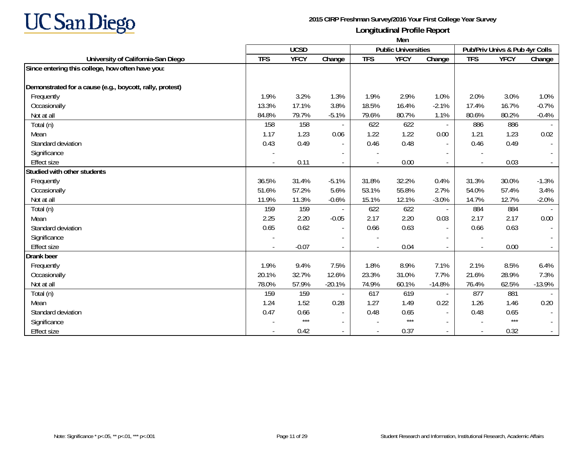

|                                                          | Men        |             |                          |            |                            |                          |                          |                                |          |
|----------------------------------------------------------|------------|-------------|--------------------------|------------|----------------------------|--------------------------|--------------------------|--------------------------------|----------|
|                                                          |            | <b>UCSD</b> |                          |            | <b>Public Universities</b> |                          |                          | Pub/Priv Univs & Pub 4yr Colls |          |
| University of California-San Diego                       | <b>TFS</b> | <b>YFCY</b> | Change                   | <b>TFS</b> | <b>YFCY</b>                | Change                   | <b>TFS</b>               | <b>YFCY</b>                    | Change   |
| Since entering this college, how often have you:         |            |             |                          |            |                            |                          |                          |                                |          |
| Demonstrated for a cause (e.g., boycott, rally, protest) |            |             |                          |            |                            |                          |                          |                                |          |
| Frequently                                               | 1.9%       | 3.2%        | 1.3%                     | 1.9%       | 2.9%                       | 1.0%                     | 2.0%                     | 3.0%                           | 1.0%     |
| Occasionally                                             | 13.3%      | 17.1%       | 3.8%                     | 18.5%      | 16.4%                      | $-2.1%$                  | 17.4%                    | 16.7%                          | $-0.7%$  |
| Not at all                                               | 84.8%      | 79.7%       | $-5.1%$                  | 79.6%      | 80.7%                      | 1.1%                     | 80.6%                    | 80.2%                          | $-0.4%$  |
| Total (n)                                                | 158        | 158         | $\overline{\phantom{a}}$ | 622        | 622                        | $\overline{\phantom{a}}$ | 886                      | 886                            |          |
| Mean                                                     | 1.17       | 1.23        | 0.06                     | 1.22       | 1.22                       | 0.00                     | 1.21                     | 1.23                           | 0.02     |
| Standard deviation                                       | 0.43       | 0.49        | $\overline{\phantom{a}}$ | 0.46       | 0.48                       | $\overline{\phantom{a}}$ | 0.46                     | 0.49                           |          |
| Significance                                             |            |             |                          |            |                            |                          |                          |                                |          |
| <b>Effect size</b>                                       |            | 0.11        |                          |            | 0.00                       |                          |                          | 0.03                           |          |
| Studied with other students                              |            |             |                          |            |                            |                          |                          |                                |          |
| Frequently                                               | 36.5%      | 31.4%       | $-5.1%$                  | 31.8%      | 32.2%                      | 0.4%                     | 31.3%                    | 30.0%                          | $-1.3%$  |
| Occasionally                                             | 51.6%      | 57.2%       | 5.6%                     | 53.1%      | 55.8%                      | 2.7%                     | 54.0%                    | 57.4%                          | 3.4%     |
| Not at all                                               | 11.9%      | 11.3%       | $-0.6%$                  | 15.1%      | 12.1%                      | $-3.0%$                  | 14.7%                    | 12.7%                          | $-2.0%$  |
| Total (n)                                                | 159        | 159         |                          | 622        | 622                        | $\overline{\phantom{a}}$ | 884                      | 884                            |          |
| Mean                                                     | 2.25       | 2.20        | $-0.05$                  | 2.17       | 2.20                       | 0.03                     | 2.17                     | 2.17                           | 0.00     |
| Standard deviation                                       | 0.65       | 0.62        | $\blacksquare$           | 0.66       | 0.63                       | $\sim$                   | 0.66                     | 0.63                           |          |
| Significance                                             |            |             |                          |            |                            |                          | $\overline{\phantom{a}}$ |                                |          |
| <b>Effect size</b>                                       |            | $-0.07$     | $\blacksquare$           |            | 0.04                       | $\sim$                   | $\blacksquare$           | 0.00                           |          |
| <b>Drank</b> beer                                        |            |             |                          |            |                            |                          |                          |                                |          |
| Frequently                                               | 1.9%       | 9.4%        | 7.5%                     | 1.8%       | 8.9%                       | 7.1%                     | 2.1%                     | 8.5%                           | 6.4%     |
| Occasionally                                             | 20.1%      | 32.7%       | 12.6%                    | 23.3%      | 31.0%                      | 7.7%                     | 21.6%                    | 28.9%                          | 7.3%     |
| Not at all                                               | 78.0%      | 57.9%       | $-20.1%$                 | 74.9%      | 60.1%                      | $-14.8%$                 | 76.4%                    | 62.5%                          | $-13.9%$ |
| Total (n)                                                | 159        | 159         |                          | 617        | 619                        | $\overline{\phantom{a}}$ | 877                      | 881                            |          |
| Mean                                                     | 1.24       | 1.52        | 0.28                     | 1.27       | 1.49                       | 0.22                     | 1.26                     | 1.46                           | 0.20     |
| Standard deviation                                       | 0.47       | 0.66        | $\overline{\phantom{a}}$ | 0.48       | 0.65                       | $\sim$                   | 0.48                     | 0.65                           |          |
| Significance                                             |            | $***$       | $\overline{\phantom{a}}$ |            | $***$                      | $\sim$                   |                          | $***$                          |          |
| <b>Effect size</b>                                       |            | 0.42        | $\overline{\phantom{a}}$ |            | 0.37                       |                          |                          | 0.32                           |          |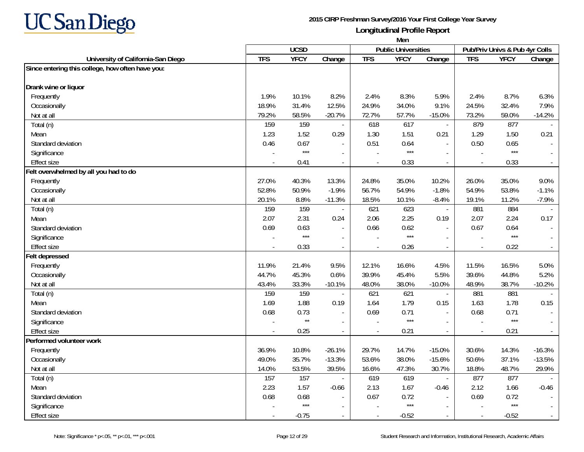

|                                                  | Men          |                 |                          |            |                            |                          |                          |                                |          |
|--------------------------------------------------|--------------|-----------------|--------------------------|------------|----------------------------|--------------------------|--------------------------|--------------------------------|----------|
|                                                  |              | <b>UCSD</b>     |                          |            | <b>Public Universities</b> |                          |                          | Pub/Priv Univs & Pub 4yr Colls |          |
| University of California-San Diego               | <b>TFS</b>   | <b>YFCY</b>     | Change                   | <b>TFS</b> | <b>YFCY</b>                | Change                   | <b>TFS</b>               | <b>YFCY</b>                    | Change   |
| Since entering this college, how often have you: |              |                 |                          |            |                            |                          |                          |                                |          |
| Drank wine or liquor                             |              |                 |                          |            |                            |                          |                          |                                |          |
| Frequently                                       | 1.9%         | 10.1%           | 8.2%                     | 2.4%       | 8.3%                       | 5.9%                     | 2.4%                     | 8.7%                           | 6.3%     |
| Occasionally                                     | 18.9%        | 31.4%           | 12.5%                    | 24.9%      | 34.0%                      | 9.1%                     | 24.5%                    | 32.4%                          | 7.9%     |
| Not at all                                       | 79.2%        | 58.5%           | $-20.7%$                 | 72.7%      | 57.7%                      | $-15.0%$                 | 73.2%                    | 59.0%                          | $-14.2%$ |
| Total (n)                                        | 159          | 159             |                          | 618        | 617                        | $\overline{\phantom{a}}$ | 879                      | 877                            |          |
| Mean                                             | 1.23         | 1.52            | 0.29                     | 1.30       | 1.51                       | 0.21                     | 1.29                     | 1.50                           | 0.21     |
| Standard deviation                               | 0.46         | 0.67            |                          | 0.51       | 0.64                       | $\sim$                   | 0.50                     | 0.65                           |          |
| Significance                                     |              | $***$           |                          |            | $***$                      |                          | $\overline{a}$           | $***$                          |          |
| <b>Effect size</b>                               |              | 0.41            | $\overline{\phantom{a}}$ |            | 0.33                       | $\sim$                   |                          | 0.33                           |          |
| Felt overwhelmed by all you had to do            |              |                 |                          |            |                            |                          |                          |                                |          |
| Frequently                                       | 27.0%        | 40.3%           | 13.3%                    | 24.8%      | 35.0%                      | 10.2%                    | 26.0%                    | 35.0%                          | 9.0%     |
| Occasionally                                     | 52.8%        | 50.9%           | $-1.9%$                  | 56.7%      | 54.9%                      | $-1.8%$                  | 54.9%                    | 53.8%                          | $-1.1%$  |
| Not at all                                       | 20.1%        | 8.8%            | $-11.3%$                 | 18.5%      | 10.1%                      | $-8.4%$                  | 19.1%                    | 11.2%                          | $-7.9%$  |
| Total (n)                                        | 159          | 159             |                          | 621        | 623                        | $\overline{\phantom{a}}$ | 881                      | 884                            |          |
| Mean                                             | 2.07         | 2.31            | 0.24                     | 2.06       | 2.25                       | 0.19                     | 2.07                     | 2.24                           | 0.17     |
| Standard deviation                               | 0.69         | 0.63            | $\overline{a}$           | 0.66       | 0.62                       | $\sim$                   | 0.67                     | 0.64                           |          |
| Significance                                     |              | $***$           | $\overline{\phantom{a}}$ |            | $***$                      | $\overline{\phantom{a}}$ |                          | $***$                          |          |
| <b>Effect size</b>                               |              | 0.33            |                          |            | 0.26                       |                          | ÷,                       | 0.22                           |          |
| <b>Felt depressed</b>                            |              |                 |                          |            |                            |                          |                          |                                |          |
| Frequently                                       | 11.9%        | 21.4%           | 9.5%                     | 12.1%      | 16.6%                      | 4.5%                     | 11.5%                    | 16.5%                          | 5.0%     |
| Occasionally                                     | 44.7%        | 45.3%           | 0.6%                     | 39.9%      | 45.4%                      | 5.5%                     | 39.6%                    | 44.8%                          | 5.2%     |
| Not at all                                       | 43.4%        | 33.3%           | $-10.1%$                 | 48.0%      | 38.0%                      | $-10.0\%$                | 48.9%                    | 38.7%                          | $-10.2%$ |
| Total (n)                                        | 159          | 159             |                          | 621        | 621                        | $\overline{\phantom{a}}$ | 881                      | 881                            |          |
| Mean                                             | 1.69         | 1.88            | 0.19                     | 1.64       | 1.79                       | 0.15                     | 1.63                     | 1.78                           | 0.15     |
| Standard deviation                               | 0.68         | 0.73            | $\blacksquare$           | 0.69       | 0.71                       | $\sim$                   | 0.68                     | 0.71                           |          |
| Significance                                     |              | $^{\star\star}$ |                          |            | $***$                      |                          |                          | $***$                          |          |
| <b>Effect size</b>                               | $\mathbf{r}$ | 0.25            | $\blacksquare$           | $\sim$     | 0.21                       | $\blacksquare$           | $\overline{\phantom{a}}$ | 0.21                           | $\sim$   |
| Performed volunteer work                         |              |                 |                          |            |                            |                          |                          |                                |          |
| Frequently                                       | 36.9%        | 10.8%           | $-26.1%$                 | 29.7%      | 14.7%                      | $-15.0%$                 | 30.6%                    | 14.3%                          | $-16.3%$ |
| Occasionally                                     | 49.0%        | 35.7%           | $-13.3%$                 | 53.6%      | 38.0%                      | $-15.6%$                 | 50.6%                    | 37.1%                          | $-13.5%$ |
| Not at all                                       | 14.0%        | 53.5%           | 39.5%                    | 16.6%      | 47.3%                      | 30.7%                    | 18.8%                    | 48.7%                          | 29.9%    |
| Total (n)                                        | 157          | 157             |                          | 619        | 619                        | $\overline{\phantom{a}}$ | 877                      | 877                            |          |
| Mean                                             | 2.23         | 1.57            | $-0.66$                  | 2.13       | 1.67                       | $-0.46$                  | 2.12                     | 1.66                           | $-0.46$  |
| Standard deviation                               | 0.68         | 0.68            | $\blacksquare$           | 0.67       | 0.72                       | $\overline{\phantom{a}}$ | 0.69                     | 0.72                           |          |
| Significance                                     |              | $***$           |                          |            | $***$                      |                          |                          | $***$                          |          |
| <b>Effect size</b>                               |              | $-0.75$         | $\overline{\phantom{a}}$ |            | $-0.52$                    |                          | $\overline{\phantom{a}}$ | $-0.52$                        |          |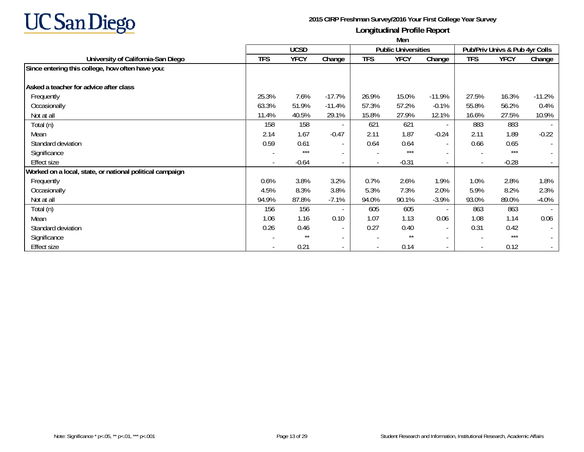

|                                                          | Men        |             |                          |                          |                            |                          |                          |                                |          |  |
|----------------------------------------------------------|------------|-------------|--------------------------|--------------------------|----------------------------|--------------------------|--------------------------|--------------------------------|----------|--|
|                                                          |            | <b>UCSD</b> |                          |                          | <b>Public Universities</b> |                          |                          | Pub/Priv Univs & Pub 4yr Colls |          |  |
| University of California-San Diego                       | <b>TFS</b> | <b>YFCY</b> | Change                   | <b>TFS</b>               | <b>YFCY</b>                | Change                   | <b>TFS</b>               | <b>YFCY</b>                    | Change   |  |
| Since entering this college, how often have you:         |            |             |                          |                          |                            |                          |                          |                                |          |  |
| Asked a teacher for advice after class                   |            |             |                          |                          |                            |                          |                          |                                |          |  |
| Frequently                                               | 25.3%      | 7.6%        | $-17.7%$                 | 26.9%                    | 15.0%                      | $-11.9%$                 | 27.5%                    | 16.3%                          | $-11.2%$ |  |
| Occasionally                                             | 63.3%      | 51.9%       | $-11.4%$                 | 57.3%                    | 57.2%                      | $-0.1%$                  | 55.8%                    | 56.2%                          | 0.4%     |  |
| Not at all                                               | 11.4%      | 40.5%       | 29.1%                    | 15.8%                    | 27.9%                      | 12.1%                    | 16.6%                    | 27.5%                          | 10.9%    |  |
| Total (n)                                                | 158        | 158         | $\overline{\phantom{a}}$ | 621                      | 621                        | $\sim$                   | 883                      | 883                            |          |  |
| Mean                                                     | 2.14       | 1.67        | $-0.47$                  | 2.11                     | 1.87                       | $-0.24$                  | 2.11                     | 1.89                           | $-0.22$  |  |
| Standard deviation                                       | 0.59       | 0.61        | $\overline{\phantom{a}}$ | 0.64                     | 0.64                       | $\overline{\phantom{a}}$ | 0.66                     | 0.65                           | $\sim$   |  |
| Significance                                             |            | $***$       | $\overline{\phantom{a}}$ |                          | $***$                      | $\overline{\phantom{a}}$ |                          | $***$                          | $\sim$   |  |
| <b>Effect size</b>                                       |            | $-0.64$     | $\overline{\phantom{a}}$ | $\overline{\phantom{a}}$ | $-0.31$                    | $\overline{\phantom{a}}$ | $\overline{\phantom{a}}$ | $-0.28$                        | $\sim$   |  |
| Worked on a local, state, or national political campaign |            |             |                          |                          |                            |                          |                          |                                |          |  |
| Frequently                                               | 0.6%       | 3.8%        | 3.2%                     | 0.7%                     | 2.6%                       | 1.9%                     | 1.0%                     | 2.8%                           | 1.8%     |  |
| Occasionally                                             | 4.5%       | 8.3%        | 3.8%                     | 5.3%                     | 7.3%                       | 2.0%                     | 5.9%                     | 8.2%                           | 2.3%     |  |
| Not at all                                               | 94.9%      | 87.8%       | $-7.1%$                  | 94.0%                    | 90.1%                      | $-3.9%$                  | 93.0%                    | 89.0%                          | $-4.0%$  |  |
| Total (n)                                                | 156        | 156         | $\overline{\phantom{a}}$ | 605                      | 605                        | $\overline{\phantom{a}}$ | 863                      | 863                            |          |  |
| Mean                                                     | 1.06       | 1.16        | 0.10                     | 1.07                     | 1.13                       | 0.06                     | 1.08                     | 1.14                           | 0.06     |  |
| Standard deviation                                       | 0.26       | 0.46        | $\overline{\phantom{a}}$ | 0.27                     | 0.40                       | $\overline{\phantom{a}}$ | 0.31                     | 0.42                           | $\sim$   |  |
| Significance                                             |            | $***$       | $\overline{\phantom{a}}$ | $\overline{\phantom{a}}$ | $***$                      | $\sim$                   |                          | $***$                          | $\sim$   |  |
| <b>Effect size</b>                                       |            | 0.21        |                          |                          | 0.14                       |                          |                          | 0.12                           | $\sim$   |  |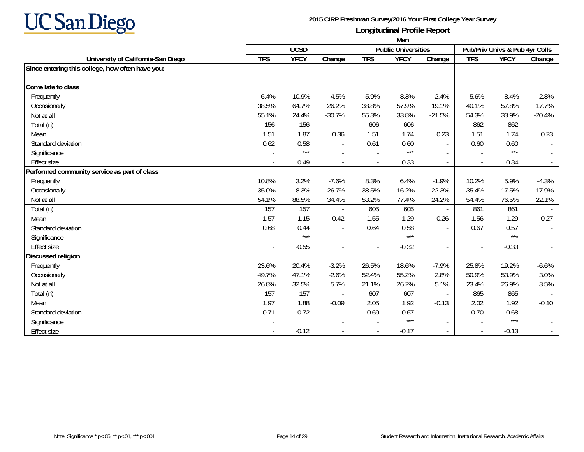

|                                                  | Men            |             |                          |                          |                            |                          |                          |                                |          |
|--------------------------------------------------|----------------|-------------|--------------------------|--------------------------|----------------------------|--------------------------|--------------------------|--------------------------------|----------|
|                                                  |                | <b>UCSD</b> |                          |                          | <b>Public Universities</b> |                          |                          | Pub/Priv Univs & Pub 4yr Colls |          |
| University of California-San Diego               | <b>TFS</b>     | <b>YFCY</b> | Change                   | <b>TFS</b>               | <b>YFCY</b>                | Change                   | <b>TFS</b>               | <b>YFCY</b>                    | Change   |
| Since entering this college, how often have you: |                |             |                          |                          |                            |                          |                          |                                |          |
| Come late to class                               |                |             |                          |                          |                            |                          |                          |                                |          |
|                                                  |                |             |                          |                          |                            |                          |                          |                                |          |
| Frequently                                       | 6.4%           | 10.9%       | 4.5%                     | 5.9%                     | 8.3%                       | 2.4%                     | 5.6%                     | 8.4%                           | 2.8%     |
| Occasionally                                     | 38.5%          | 64.7%       | 26.2%                    | 38.8%                    | 57.9%                      | 19.1%                    | 40.1%                    | 57.8%                          | 17.7%    |
| Not at all                                       | 55.1%          | 24.4%       | $-30.7%$                 | 55.3%                    | 33.8%                      | $-21.5%$                 | 54.3%                    | 33.9%                          | $-20.4%$ |
| Total (n)                                        | 156            | 156         |                          | 606                      | 606                        | $\overline{\phantom{a}}$ | 862                      | 862                            |          |
| Mean                                             | 1.51           | 1.87        | 0.36                     | 1.51                     | 1.74                       | 0.23                     | 1.51                     | 1.74                           | 0.23     |
| Standard deviation                               | 0.62           | 0.58        | $\overline{\phantom{a}}$ | 0.61                     | 0.60                       | $\overline{\phantom{a}}$ | 0.60                     | 0.60                           |          |
| Significance                                     |                | $***$       |                          |                          | $***$                      |                          | $\overline{\phantom{a}}$ | $***$                          |          |
| <b>Effect size</b>                               |                | 0.49        |                          |                          | 0.33                       | $\sim$                   |                          | 0.34                           |          |
| Performed community service as part of class     |                |             |                          |                          |                            |                          |                          |                                |          |
| Frequently                                       | 10.8%          | 3.2%        | $-7.6%$                  | 8.3%                     | 6.4%                       | $-1.9%$                  | 10.2%                    | 5.9%                           | $-4.3%$  |
| Occasionally                                     | 35.0%          | 8.3%        | $-26.7%$                 | 38.5%                    | 16.2%                      | $-22.3%$                 | 35.4%                    | 17.5%                          | $-17.9%$ |
| Not at all                                       | 54.1%          | 88.5%       | 34.4%                    | 53.2%                    | 77.4%                      | 24.2%                    | 54.4%                    | 76.5%                          | 22.1%    |
| Total (n)                                        | 157            | 157         |                          | 605                      | 605                        | $\sim$                   | 861                      | 861                            |          |
| Mean                                             | 1.57           | 1.15        | $-0.42$                  | 1.55                     | 1.29                       | $-0.26$                  | 1.56                     | 1.29                           | $-0.27$  |
| Standard deviation                               | 0.68           | 0.44        | $\overline{a}$           | 0.64                     | 0.58                       | $\sim$                   | 0.67                     | 0.57                           |          |
| Significance                                     |                | $***$       |                          |                          | $***$                      |                          | $\overline{\phantom{a}}$ | $***$                          |          |
| <b>Effect size</b>                               | $\blacksquare$ | $-0.55$     | $\overline{\phantom{a}}$ | $\overline{\phantom{a}}$ | $-0.32$                    | $\sim$                   | $\blacksquare$           | $-0.33$                        |          |
| <b>Discussed religion</b>                        |                |             |                          |                          |                            |                          |                          |                                |          |
| Frequently                                       | 23.6%          | 20.4%       | $-3.2%$                  | 26.5%                    | 18.6%                      | $-7.9%$                  | 25.8%                    | 19.2%                          | $-6.6%$  |
| Occasionally                                     | 49.7%          | 47.1%       | $-2.6%$                  | 52.4%                    | 55.2%                      | 2.8%                     | 50.9%                    | 53.9%                          | 3.0%     |
| Not at all                                       | 26.8%          | 32.5%       | 5.7%                     | 21.1%                    | 26.2%                      | 5.1%                     | 23.4%                    | 26.9%                          | 3.5%     |
| Total (n)                                        | 157            | 157         |                          | 607                      | 607                        | $\overline{\phantom{a}}$ | 865                      | 865                            |          |
| Mean                                             | 1.97           | 1.88        | $-0.09$                  | 2.05                     | 1.92                       | $-0.13$                  | 2.02                     | 1.92                           | $-0.10$  |
| Standard deviation                               | 0.71           | 0.72        |                          | 0.69                     | 0.67                       | $\sim$                   | 0.70                     | 0.68                           |          |
| Significance                                     |                |             |                          |                          | $***$                      | $\overline{\phantom{a}}$ | $\overline{\phantom{a}}$ | $***$                          |          |
| <b>Effect size</b>                               |                | $-0.12$     |                          |                          | $-0.17$                    | $\overline{\phantom{a}}$ | $\blacksquare$           | $-0.13$                        |          |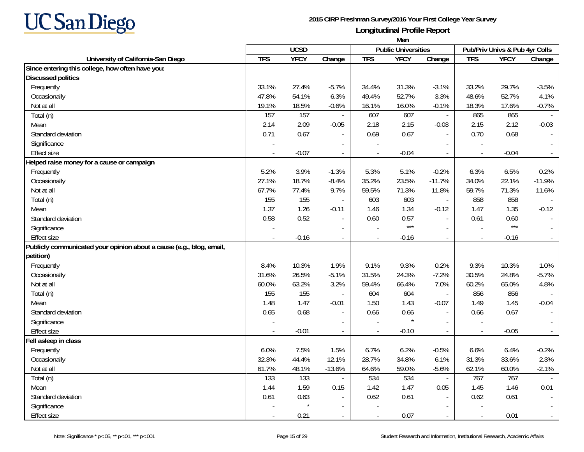

|                                                                      | Men        |             |                          |            |                            |                             |                          |                                |               |
|----------------------------------------------------------------------|------------|-------------|--------------------------|------------|----------------------------|-----------------------------|--------------------------|--------------------------------|---------------|
|                                                                      |            | <b>UCSD</b> |                          |            | <b>Public Universities</b> |                             |                          | Pub/Priv Univs & Pub 4yr Colls |               |
| University of California-San Diego                                   | <b>TFS</b> | <b>YFCY</b> | Change                   | <b>TFS</b> | <b>YFCY</b>                | Change                      | <b>TFS</b>               | <b>YFCY</b>                    | Change        |
| Since entering this college, how often have you:                     |            |             |                          |            |                            |                             |                          |                                |               |
| <b>Discussed politics</b>                                            |            |             |                          |            |                            |                             |                          |                                |               |
| Frequently                                                           | 33.1%      | 27.4%       | $-5.7%$                  | 34.4%      | 31.3%                      | $-3.1%$                     | 33.2%                    | 29.7%                          | $-3.5%$       |
| Occasionally                                                         | 47.8%      | 54.1%       | 6.3%                     | 49.4%      | 52.7%                      | 3.3%                        | 48.6%                    | 52.7%                          | 4.1%          |
| Not at all                                                           | 19.1%      | 18.5%       | $-0.6%$                  | 16.1%      | 16.0%                      | $-0.1%$                     | 18.3%                    | 17.6%                          | $-0.7%$       |
| Total (n)                                                            | 157        | 157         |                          | 607        | 607                        | $\overline{\phantom{a}}$    | 865                      | 865                            |               |
| Mean                                                                 | 2.14       | 2.09        | $-0.05$                  | 2.18       | 2.15                       | $-0.03$                     | 2.15                     | 2.12                           | $-0.03$       |
| Standard deviation                                                   | 0.71       | 0.67        |                          | 0.69       | 0.67                       | $\sim$                      | 0.70                     | 0.68                           |               |
| Significance                                                         |            |             |                          |            |                            |                             |                          |                                |               |
| <b>Effect size</b>                                                   | $\sim$     | $-0.07$     | $\overline{a}$           | $\sim$     | $-0.04$                    | $\mathcal{L}_{\mathcal{A}}$ | $\overline{a}$           | $-0.04$                        |               |
| Helped raise money for a cause or campaign                           |            |             |                          |            |                            |                             |                          |                                |               |
| Frequently                                                           | 5.2%       | 3.9%        | $-1.3%$                  | 5.3%       | 5.1%                       | $-0.2%$                     | 6.3%                     | 6.5%                           | 0.2%          |
| Occasionally                                                         | 27.1%      | 18.7%       | $-8.4%$                  | 35.2%      | 23.5%                      | $-11.7%$                    | 34.0%                    | 22.1%                          | $-11.9%$      |
| Not at all                                                           | 67.7%      | 77.4%       | 9.7%                     | 59.5%      | 71.3%                      | 11.8%                       | 59.7%                    | 71.3%                          | 11.6%         |
| Total (n)                                                            | 155        | 155         |                          | 603        | 603                        | $\Box$                      | 858                      | 858                            | $\mathcal{L}$ |
| Mean                                                                 | 1.37       | 1.26        | $-0.11$                  | 1.46       | 1.34                       | $-0.12$                     | 1.47                     | 1.35                           | $-0.12$       |
| Standard deviation                                                   | 0.58       | 0.52        | $\blacksquare$           | 0.60       | 0.57                       | $\sim$                      | 0.61                     | 0.60                           |               |
| Significance                                                         |            |             |                          |            | $***$                      |                             |                          | $***$                          |               |
| <b>Effect size</b>                                                   | $\sim$     | $-0.16$     | $\overline{\phantom{a}}$ |            | $-0.16$                    | $\sim$                      | $\overline{a}$           | $-0.16$                        |               |
| Publicly communicated your opinion about a cause (e.g., blog, email, |            |             |                          |            |                            |                             |                          |                                |               |
| petition)                                                            |            |             |                          |            |                            |                             |                          |                                |               |
| Frequently                                                           | 8.4%       | 10.3%       | 1.9%                     | 9.1%       | 9.3%                       | 0.2%                        | 9.3%                     | 10.3%                          | 1.0%          |
| Occasionally                                                         | 31.6%      | 26.5%       | $-5.1%$                  | 31.5%      | 24.3%                      | $-7.2%$                     | 30.5%                    | 24.8%                          | $-5.7%$       |
| Not at all                                                           | 60.0%      | 63.2%       | 3.2%                     | 59.4%      | 66.4%                      | 7.0%                        | 60.2%                    | 65.0%                          | 4.8%          |
| Total (n)                                                            | 155        | 155         | $\sim$                   | 604        | 604                        | $\overline{\phantom{a}}$    | 856                      | 856                            |               |
| Mean                                                                 | 1.48       | 1.47        | $-0.01$                  | 1.50       | 1.43                       | $-0.07$                     | 1.49                     | 1.45                           | $-0.04$       |
| Standard deviation                                                   | 0.65       | 0.68        | $\blacksquare$           | 0.66       | 0.66                       | $\sim$                      | 0.66                     | 0.67                           |               |
| Significance                                                         |            |             | $\overline{\phantom{a}}$ |            |                            | $\sim$                      | $\overline{\phantom{a}}$ |                                |               |
| <b>Effect size</b>                                                   |            | $-0.01$     | $\overline{\phantom{a}}$ |            | $-0.10$                    | $\overline{\phantom{a}}$    | $\overline{\phantom{a}}$ | $-0.05$                        |               |
| Fell asleep in class                                                 |            |             |                          |            |                            |                             |                          |                                |               |
| Frequently                                                           | 6.0%       | 7.5%        | 1.5%                     | 6.7%       | 6.2%                       | $-0.5%$                     | 6.6%                     | 6.4%                           | $-0.2%$       |
| Occasionally                                                         | 32.3%      | 44.4%       | 12.1%                    | 28.7%      | 34.8%                      | 6.1%                        | 31.3%                    | 33.6%                          | 2.3%          |
| Not at all                                                           | 61.7%      | 48.1%       | $-13.6%$                 | 64.6%      | 59.0%                      | $-5.6%$                     | 62.1%                    | 60.0%                          | $-2.1%$       |
| Total (n)                                                            | 133        | 133         | $\blacksquare$           | 534        | 534                        | $\blacksquare$              | 767                      | 767                            |               |
| Mean                                                                 | 1.44       | 1.59        | 0.15                     | 1.42       | 1.47                       | 0.05                        | 1.45                     | 1.46                           | 0.01          |
| Standard deviation                                                   | 0.61       | 0.63        | $\overline{\phantom{a}}$ | 0.62       | 0.61                       | $\sim$                      | 0.62                     | 0.61                           |               |
| Significance                                                         |            |             |                          |            |                            |                             |                          |                                |               |
| Effect size                                                          |            | 0.21        |                          |            | 0.07                       |                             | $\overline{\phantom{a}}$ | 0.01                           |               |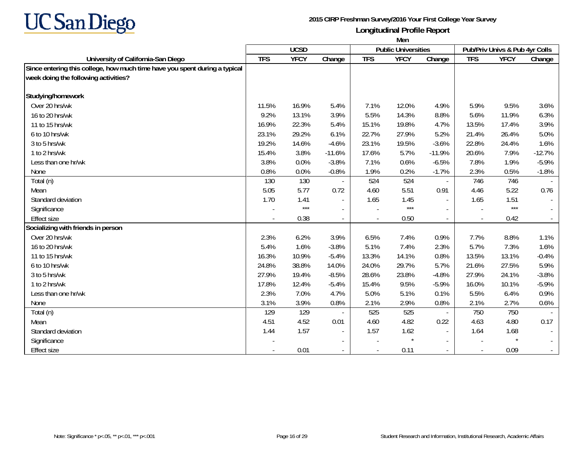

|                                                                            | Men        |             |                          |            |                            |                          |            |                                |          |
|----------------------------------------------------------------------------|------------|-------------|--------------------------|------------|----------------------------|--------------------------|------------|--------------------------------|----------|
|                                                                            |            | <b>UCSD</b> |                          |            | <b>Public Universities</b> |                          |            | Pub/Priv Univs & Pub 4yr Colls |          |
| University of California-San Diego                                         | <b>TFS</b> | <b>YFCY</b> | Change                   | <b>TFS</b> | <b>YFCY</b>                | Change                   | <b>TFS</b> | <b>YFCY</b>                    | Change   |
| Since entering this college, how much time have you spent during a typical |            |             |                          |            |                            |                          |            |                                |          |
| week doing the following activities?                                       |            |             |                          |            |                            |                          |            |                                |          |
| Studying/homework                                                          |            |             |                          |            |                            |                          |            |                                |          |
| Over 20 hrs/wk                                                             | 11.5%      | 16.9%       | 5.4%                     | 7.1%       | 12.0%                      | 4.9%                     | 5.9%       | 9.5%                           | 3.6%     |
| 16 to 20 hrs/wk                                                            | 9.2%       | 13.1%       | 3.9%                     | 5.5%       | 14.3%                      | 8.8%                     | 5.6%       | 11.9%                          | 6.3%     |
| 11 to 15 hrs/wk                                                            | 16.9%      | 22.3%       | 5.4%                     | 15.1%      | 19.8%                      | 4.7%                     | 13.5%      | 17.4%                          | 3.9%     |
| 6 to 10 hrs/wk                                                             | 23.1%      | 29.2%       | 6.1%                     | 22.7%      | 27.9%                      | 5.2%                     | 21.4%      | 26.4%                          | 5.0%     |
| 3 to 5 hrs/wk                                                              | 19.2%      | 14.6%       | $-4.6%$                  | 23.1%      | 19.5%                      | $-3.6%$                  | 22.8%      | 24.4%                          | 1.6%     |
| 1 to 2 hrs/wk                                                              | 15.4%      | 3.8%        | $-11.6%$                 | 17.6%      | 5.7%                       | $-11.9%$                 | 20.6%      | 7.9%                           | $-12.7%$ |
| Less than one hr/wk                                                        | 3.8%       | 0.0%        | $-3.8%$                  | 7.1%       | 0.6%                       | $-6.5%$                  | 7.8%       | 1.9%                           | $-5.9%$  |
| None                                                                       | 0.8%       | 0.0%        | $-0.8%$                  | 1.9%       | 0.2%                       | $-1.7%$                  | 2.3%       | 0.5%                           | $-1.8%$  |
| Total (n)                                                                  | 130        | 130         |                          | 524        | 524                        | $\overline{\phantom{a}}$ | 746        | 746                            |          |
| Mean                                                                       | 5.05       | 5.77        | 0.72                     | 4.60       | 5.51                       | 0.91                     | 4.46       | 5.22                           | 0.76     |
| Standard deviation                                                         | 1.70       | 1.41        |                          | 1.65       | 1.45                       | $\sim$                   | 1.65       | 1.51                           |          |
| Significance                                                               |            | $***$       | $\overline{\phantom{a}}$ |            | $***$                      | $\overline{\phantom{a}}$ |            | $***$                          |          |
| <b>Effect size</b>                                                         |            | 0.38        |                          |            | 0.50                       | $\overline{\phantom{a}}$ |            | 0.42                           |          |
| Socializing with friends in person                                         |            |             |                          |            |                            |                          |            |                                |          |
| Over 20 hrs/wk                                                             | 2.3%       | 6.2%        | 3.9%                     | 6.5%       | 7.4%                       | 0.9%                     | 7.7%       | 8.8%                           | 1.1%     |
| 16 to 20 hrs/wk                                                            | 5.4%       | 1.6%        | $-3.8%$                  | 5.1%       | 7.4%                       | 2.3%                     | 5.7%       | 7.3%                           | 1.6%     |
| 11 to 15 hrs/wk                                                            | 16.3%      | 10.9%       | $-5.4%$                  | 13.3%      | 14.1%                      | 0.8%                     | 13.5%      | 13.1%                          | $-0.4%$  |
| 6 to 10 hrs/wk                                                             | 24.8%      | 38.8%       | 14.0%                    | 24.0%      | 29.7%                      | 5.7%                     | 21.6%      | 27.5%                          | 5.9%     |
| 3 to 5 hrs/wk                                                              | 27.9%      | 19.4%       | $-8.5%$                  | 28.6%      | 23.8%                      | $-4.8%$                  | 27.9%      | 24.1%                          | $-3.8%$  |
| 1 to 2 hrs/wk                                                              | 17.8%      | 12.4%       | $-5.4%$                  | 15.4%      | 9.5%                       | $-5.9%$                  | 16.0%      | 10.1%                          | $-5.9%$  |
| Less than one hr/wk                                                        | 2.3%       | 7.0%        | 4.7%                     | 5.0%       | 5.1%                       | 0.1%                     | 5.5%       | 6.4%                           | 0.9%     |
| None                                                                       | 3.1%       | 3.9%        | 0.8%                     | 2.1%       | 2.9%                       | 0.8%                     | 2.1%       | 2.7%                           | 0.6%     |
| Total (n)                                                                  | 129        | 129         |                          | 525        | 525                        | $\overline{\phantom{a}}$ | 750        | 750                            |          |
| Mean                                                                       | 4.51       | 4.52        | 0.01                     | 4.60       | 4.82                       | 0.22                     | 4.63       | 4.80                           | 0.17     |
| Standard deviation                                                         | 1.44       | 1.57        |                          | 1.57       | 1.62                       | $\sim$                   | 1.64       | 1.68                           |          |
| Significance                                                               |            |             | $\overline{\phantom{a}}$ |            | $\star$                    | $\sim$                   |            | $\star$                        | $\sim$   |
| <b>Effect size</b>                                                         |            | 0.01        |                          |            | 0.11                       | $\sim$                   |            | 0.09                           | $\sim$   |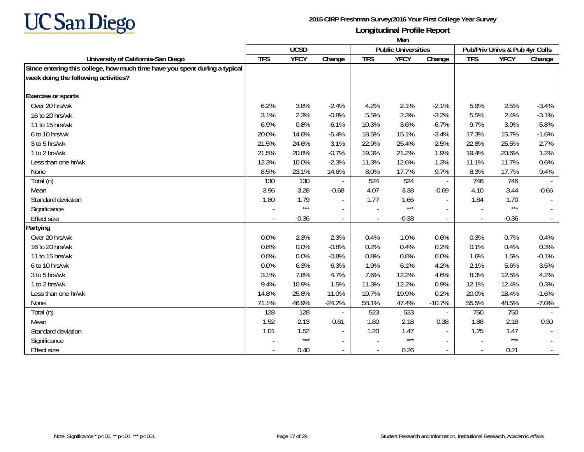

|                                                                            | Men        |             |                          |            |                            |                          |                |                                |         |
|----------------------------------------------------------------------------|------------|-------------|--------------------------|------------|----------------------------|--------------------------|----------------|--------------------------------|---------|
|                                                                            |            | <b>UCSD</b> |                          |            | <b>Public Universities</b> |                          |                | Pub/Priv Univs & Pub 4yr Colls |         |
| University of California-San Diego                                         | <b>TFS</b> | <b>YFCY</b> | Change                   | <b>TFS</b> | <b>YFCY</b>                | Change                   | <b>TFS</b>     | <b>YFCY</b>                    | Change  |
| Since entering this college, how much time have you spent during a typical |            |             |                          |            |                            |                          |                |                                |         |
| week doing the following activities?                                       |            |             |                          |            |                            |                          |                |                                |         |
| <b>Exercise or sports</b>                                                  |            |             |                          |            |                            |                          |                |                                |         |
| Over 20 hrs/wk                                                             | 6.2%       | 3.8%        | $-2.4%$                  | 4.2%       | 2.1%                       | $-2.1%$                  | 5.9%           | 2.5%                           | $-3.4%$ |
| 16 to 20 hrs/wk                                                            | 3.1%       | 2.3%        | $-0.8%$                  | 5.5%       | 2.3%                       | $-3.2%$                  | 5.5%           | 2.4%                           | $-3.1%$ |
| 11 to 15 hrs/wk                                                            | 6.9%       | 0.8%        | $-6.1%$                  | 10.3%      | 3.6%                       | $-6.7%$                  | 9.7%           | 3.9%                           | $-5.8%$ |
| 6 to 10 hrs/wk                                                             | 20.0%      | 14.6%       | $-5.4%$                  | 18.5%      | 15.1%                      | $-3.4%$                  | 17.3%          | 15.7%                          | $-1.6%$ |
| 3 to 5 hrs/wk                                                              | 21.5%      | 24.6%       | 3.1%                     | 22.9%      | 25.4%                      | 2.5%                     | 22.8%          | 25.5%                          | 2.7%    |
| 1 to 2 hrs/wk                                                              | 21.5%      | 20.8%       | $-0.7%$                  | 19.3%      | 21.2%                      | 1.9%                     | 19.4%          | 20.6%                          | 1.2%    |
| Less than one hr/wk                                                        | 12.3%      | 10.0%       | $-2.3%$                  | 11.3%      | 12.6%                      | 1.3%                     | 11.1%          | 11.7%                          | 0.6%    |
| None                                                                       | 8.5%       | 23.1%       | 14.6%                    | 8.0%       | 17.7%                      | 9.7%                     | 8.3%           | 17.7%                          | 9.4%    |
| Total (n)                                                                  | 130        | 130         |                          | 524        | 524                        | $\overline{\phantom{a}}$ | 746            | 746                            |         |
| Mean                                                                       | 3.96       | 3.28        | $-0.68$                  | 4.07       | 3.38                       | $-0.69$                  | 4.10           | 3.44                           | $-0.66$ |
| Standard deviation                                                         | 1.80       | 1.79        | $\overline{a}$           | 1.77       | 1.66                       | $\overline{\phantom{a}}$ | 1.84           | 1.70                           |         |
| Significance                                                               |            | $***$       | $\overline{\phantom{a}}$ |            | $***$                      | $\overline{\phantom{a}}$ |                | $***$                          |         |
| <b>Effect size</b>                                                         |            | $-0.36$     |                          |            | $-0.38$                    | $\overline{\phantom{a}}$ | $\overline{a}$ | $-0.36$                        |         |
| Partying                                                                   |            |             |                          |            |                            |                          |                |                                |         |
| Over 20 hrs/wk                                                             | 0.0%       | 2.3%        | 2.3%                     | 0.4%       | 1.0%                       | 0.6%                     | 0.3%           | 0.7%                           | 0.4%    |
| 16 to 20 hrs/wk                                                            | 0.8%       | 0.0%        | $-0.8%$                  | 0.2%       | 0.4%                       | 0.2%                     | 0.1%           | 0.4%                           | 0.3%    |
| 11 to 15 hrs/wk                                                            | 0.8%       | 0.0%        | $-0.8%$                  | 0.8%       | 0.8%                       | 0.0%                     | 1.6%           | 1.5%                           | $-0.1%$ |
| 6 to 10 hrs/wk                                                             | 0.0%       | 6.3%        | 6.3%                     | 1.9%       | 6.1%                       | 4.2%                     | 2.1%           | 5.6%                           | 3.5%    |
| 3 to 5 hrs/wk                                                              | 3.1%       | 7.8%        | 4.7%                     | 7.6%       | 12.2%                      | 4.6%                     | 8.3%           | 12.5%                          | 4.2%    |
| 1 to 2 hrs/wk                                                              | 9.4%       | 10.9%       | 1.5%                     | 11.3%      | 12.2%                      | 0.9%                     | 12.1%          | 12.4%                          | 0.3%    |
| Less than one hr/wk                                                        | 14.8%      | 25.8%       | 11.0%                    | 19.7%      | 19.9%                      | 0.2%                     | 20.0%          | 18.4%                          | $-1.6%$ |
| None                                                                       | 71.1%      | 46.9%       | $-24.2%$                 | 58.1%      | 47.4%                      | $-10.7%$                 | 55.5%          | 48.5%                          | $-7.0%$ |
| Total (n)                                                                  | 128        | 128         |                          | 523        | 523                        | $\overline{\phantom{a}}$ | 750            | 750                            |         |
| Mean                                                                       | 1.52       | 2.13        | 0.61                     | 1.80       | 2.18                       | 0.38                     | 1.88           | 2.18                           | 0.30    |
| Standard deviation                                                         | 1.01       | 1.52        |                          | 1.20       | 1.47                       | $\sim$                   | 1.25           | 1.47                           |         |
| Significance                                                               |            | $***$       | $\blacksquare$           |            | $***$                      | $\sim$                   |                | $***$                          | $\sim$  |
| <b>Effect size</b>                                                         |            | 0.40        | $\overline{\phantom{a}}$ |            | 0.26                       | $\sim$                   |                | 0.21                           | $\sim$  |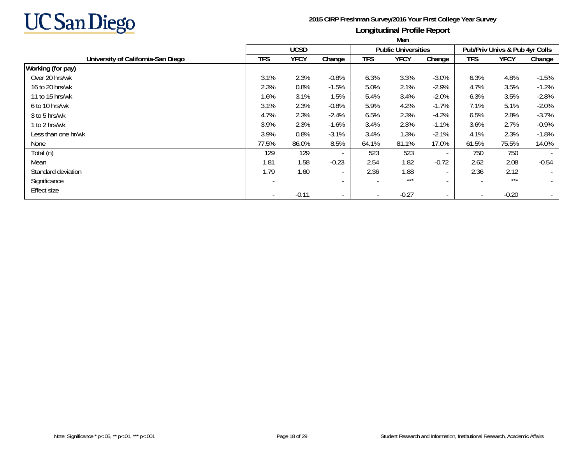

|                                    | <b>IVICH</b> |             |                          |            |                            |                          |                          |                                |                          |
|------------------------------------|--------------|-------------|--------------------------|------------|----------------------------|--------------------------|--------------------------|--------------------------------|--------------------------|
|                                    |              | <b>UCSD</b> |                          |            | <b>Public Universities</b> |                          |                          | Pub/Priv Univs & Pub 4yr Colls |                          |
| University of California-San Diego | <b>TFS</b>   | <b>YFCY</b> | Change                   | <b>TFS</b> | <b>YFCY</b>                | Change                   | <b>TFS</b>               | <b>YFCY</b>                    | Change                   |
| Working (for pay)                  |              |             |                          |            |                            |                          |                          |                                |                          |
| Over 20 hrs/wk                     | 3.1%         | 2.3%        | $-0.8%$                  | 6.3%       | 3.3%                       | $-3.0%$                  | 6.3%                     | 4.8%                           | $-1.5%$                  |
| 16 to 20 hrs/wk                    | 2.3%         | 0.8%        | $-1.5%$                  | 5.0%       | 2.1%                       | $-2.9%$                  | 4.7%                     | 3.5%                           | $-1.2%$                  |
| 11 to 15 hrs/wk                    | 1.6%         | 3.1%        | 1.5%                     | 5.4%       | 3.4%                       | $-2.0%$                  | 6.3%                     | 3.5%                           | $-2.8%$                  |
| 6 to 10 hrs/wk                     | 3.1%         | 2.3%        | $-0.8%$                  | 5.9%       | 4.2%                       | $-1.7%$                  | 7.1%                     | 5.1%                           | $-2.0%$                  |
| 3 to 5 hrs/wk                      | 4.7%         | 2.3%        | $-2.4%$                  | 6.5%       | 2.3%                       | $-4.2%$                  | 6.5%                     | 2.8%                           | $-3.7%$                  |
| 1 to 2 hrs/wk                      | 3.9%         | 2.3%        | $-1.6%$                  | 3.4%       | 2.3%                       | $-1.1%$                  | 3.6%                     | 2.7%                           | $-0.9\%$                 |
| Less than one hr/wk                | 3.9%         | 0.8%        | $-3.1%$                  | 3.4%       | 1.3%                       | $-2.1%$                  | 4.1%                     | 2.3%                           | $-1.8%$                  |
| None                               | 77.5%        | 86.0%       | 8.5%                     | 64.1%      | 81.1%                      | 17.0%                    | 61.5%                    | 75.5%                          | 14.0%                    |
| Total (n)                          | 129          | 129         |                          | 523        | 523                        | $\sim$                   | 750                      | 750                            | $\overline{\phantom{a}}$ |
| Mean                               | 1.81         | 1.58        | $-0.23$                  | 2.54       | 1.82                       | $-0.72$                  | 2.62                     | 2.08                           | $-0.54$                  |
| Standard deviation                 | 1.79         | 1.60        | $\overline{\phantom{a}}$ | 2.36       | 1.88                       | $\overline{\phantom{a}}$ | 2.36                     | 2.12                           | $\sim$                   |
| Significance                       |              |             | $\overline{\phantom{a}}$ |            | $***$                      | $\overline{\phantom{a}}$ |                          | $***$                          | $\sim$                   |
| <b>Effect size</b>                 |              | $-0.11$     | $\overline{\phantom{a}}$ |            | $-0.27$                    | $\sim$                   | $\overline{\phantom{a}}$ | $-0.20$                        |                          |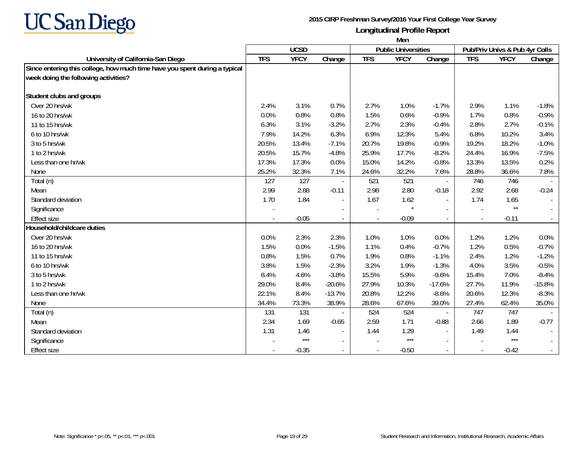

|                                                                            | Men        |             |                          |            |                            |                             |            |                                |          |
|----------------------------------------------------------------------------|------------|-------------|--------------------------|------------|----------------------------|-----------------------------|------------|--------------------------------|----------|
|                                                                            |            | <b>UCSD</b> |                          |            | <b>Public Universities</b> |                             |            | Pub/Priv Univs & Pub 4yr Colls |          |
| University of California-San Diego                                         | <b>TFS</b> | <b>YFCY</b> | Change                   | <b>TFS</b> | <b>YFCY</b>                | Change                      | <b>TFS</b> | <b>YFCY</b>                    | Change   |
| Since entering this college, how much time have you spent during a typical |            |             |                          |            |                            |                             |            |                                |          |
| week doing the following activities?                                       |            |             |                          |            |                            |                             |            |                                |          |
| Student clubs and groups                                                   |            |             |                          |            |                            |                             |            |                                |          |
| Over 20 hrs/wk                                                             | 2.4%       | 3.1%        | 0.7%                     | 2.7%       | 1.0%                       | $-1.7%$                     | 2.9%       | 1.1%                           | $-1.8%$  |
| 16 to 20 hrs/wk                                                            | 0.0%       | 0.8%        | 0.8%                     | 1.5%       | 0.6%                       | $-0.9%$                     | 1.7%       | 0.8%                           | $-0.9%$  |
| 11 to 15 hrs/wk                                                            | 6.3%       | 3.1%        | $-3.2%$                  | 2.7%       | 2.3%                       | $-0.4%$                     | 2.8%       | 2.7%                           | $-0.1%$  |
| 6 to 10 hrs/wk                                                             | 7.9%       | 14.2%       | 6.3%                     | 6.9%       | 12.3%                      | 5.4%                        | 6.8%       | 10.2%                          | 3.4%     |
| 3 to 5 hrs/wk                                                              | 20.5%      | 13.4%       | $-7.1%$                  | 20.7%      | 19.8%                      | $-0.9%$                     | 19.2%      | 18.2%                          | $-1.0%$  |
| 1 to 2 hrs/wk                                                              | 20.5%      | 15.7%       | $-4.8%$                  | 25.9%      | 17.7%                      | $-8.2%$                     | 24.4%      | 16.9%                          | $-7.5%$  |
| Less than one hr/wk                                                        | 17.3%      | 17.3%       | 0.0%                     | 15.0%      | 14.2%                      | $-0.8%$                     | 13.3%      | 13.5%                          | 0.2%     |
| None                                                                       | 25.2%      | 32.3%       | 7.1%                     | 24.6%      | 32.2%                      | 7.6%                        | 28.8%      | 36.6%                          | 7.8%     |
| Total (n)                                                                  | 127        | 127         |                          | 521        | 521                        | $\overline{\phantom{a}}$    | 746        | 746                            |          |
| Mean                                                                       | 2.99       | 2.88        | $-0.11$                  | 2.98       | 2.80                       | $-0.18$                     | 2.92       | 2.68                           | $-0.24$  |
| Standard deviation                                                         | 1.70       | 1.84        | $\overline{\phantom{a}}$ | 1.67       | 1.62                       | $\overline{\phantom{a}}$    | 1.74       | 1.65                           |          |
| Significance                                                               |            |             | $\overline{\phantom{a}}$ |            | $\star$                    | $\overline{\phantom{a}}$    |            | $^{\star\star}$                |          |
| <b>Effect size</b>                                                         |            | $-0.05$     |                          |            | $-0.09$                    | $\mathcal{L}_{\mathcal{A}}$ |            | $-0.11$                        |          |
| Household/childcare duties                                                 |            |             |                          |            |                            |                             |            |                                |          |
| Over 20 hrs/wk                                                             | 0.0%       | 2.3%        | 2.3%                     | 1.0%       | 1.0%                       | 0.0%                        | 1.2%       | 1.2%                           | 0.0%     |
| 16 to 20 hrs/wk                                                            | 1.5%       | 0.0%        | $-1.5%$                  | 1.1%       | 0.4%                       | $-0.7%$                     | 1.2%       | 0.5%                           | $-0.7%$  |
| 11 to 15 hrs/wk                                                            | 0.8%       | 1.5%        | 0.7%                     | 1.9%       | 0.8%                       | $-1.1%$                     | 2.4%       | 1.2%                           | $-1.2%$  |
| 6 to 10 hrs/wk                                                             | 3.8%       | 1.5%        | $-2.3%$                  | 3.2%       | 1.9%                       | $-1.3%$                     | 4.0%       | 3.5%                           | $-0.5%$  |
| 3 to 5 hrs/wk                                                              | 8.4%       | 4.6%        | $-3.8%$                  | 15.5%      | 5.9%                       | $-9.6%$                     | 15.4%      | 7.0%                           | $-8.4%$  |
| 1 to 2 hrs/wk                                                              | 29.0%      | 8.4%        | $-20.6%$                 | 27.9%      | 10.3%                      | $-17.6%$                    | 27.7%      | 11.9%                          | $-15.8%$ |
| Less than one hr/wk                                                        | 22.1%      | 8.4%        | $-13.7%$                 | 20.8%      | 12.2%                      | $-8.6%$                     | 20.6%      | 12.3%                          | $-8.3%$  |
| None                                                                       | 34.4%      | 73.3%       | 38.9%                    | 28.6%      | 67.6%                      | 39.0%                       | 27.4%      | 62.4%                          | 35.0%    |
| Total (n)                                                                  | 131        | 131         |                          | 524        | 524                        | $\overline{\phantom{a}}$    | 747        | 747                            |          |
| Mean                                                                       | 2.34       | 1.69        | $-0.65$                  | 2.59       | 1.71                       | $-0.88$                     | 2.66       | 1.89                           | $-0.77$  |
| Standard deviation                                                         | 1.31       | 1.46        |                          | 1.44       | 1.29                       | $\sim$                      | 1.49       | 1.44                           |          |
| Significance                                                               |            | $***$       | $\blacksquare$           |            | $***$                      | $\sim$                      |            | $***$                          |          |
| <b>Effect size</b>                                                         |            | $-0.35$     |                          |            | $-0.50$                    | $\sim$                      |            | $-0.42$                        |          |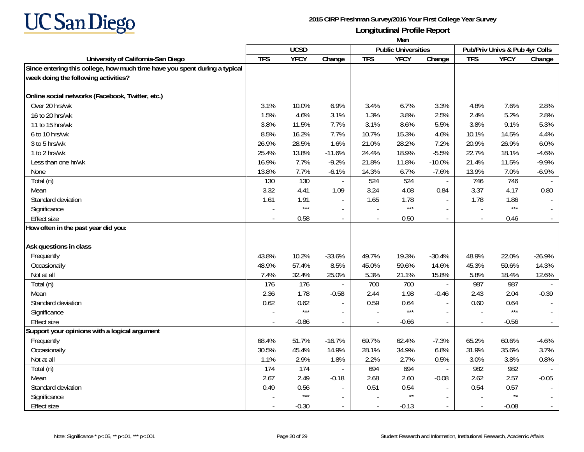

|                                                                            | Men        |             |                          |                |                            |                          |                          |                                |          |
|----------------------------------------------------------------------------|------------|-------------|--------------------------|----------------|----------------------------|--------------------------|--------------------------|--------------------------------|----------|
|                                                                            |            | <b>UCSD</b> |                          |                | <b>Public Universities</b> |                          |                          | Pub/Priv Univs & Pub 4yr Colls |          |
| University of California-San Diego                                         | <b>TFS</b> | <b>YFCY</b> | Change                   | <b>TFS</b>     | <b>YFCY</b>                | Change                   | <b>TFS</b>               | <b>YFCY</b>                    | Change   |
| Since entering this college, how much time have you spent during a typical |            |             |                          |                |                            |                          |                          |                                |          |
| week doing the following activities?                                       |            |             |                          |                |                            |                          |                          |                                |          |
| Online social networks (Facebook, Twitter, etc.)                           |            |             |                          |                |                            |                          |                          |                                |          |
| Over 20 hrs/wk                                                             | 3.1%       | 10.0%       | 6.9%                     | 3.4%           | 6.7%                       | 3.3%                     | 4.8%                     | 7.6%                           | 2.8%     |
| 16 to 20 hrs/wk                                                            | 1.5%       | 4.6%        | 3.1%                     | 1.3%           | 3.8%                       | 2.5%                     | 2.4%                     | 5.2%                           | 2.8%     |
| 11 to 15 hrs/wk                                                            | 3.8%       | 11.5%       | 7.7%                     | 3.1%           | 8.6%                       | 5.5%                     | 3.8%                     | 9.1%                           | 5.3%     |
| 6 to 10 hrs/wk                                                             | 8.5%       | 16.2%       | 7.7%                     | 10.7%          | 15.3%                      | 4.6%                     | 10.1%                    | 14.5%                          | 4.4%     |
| 3 to 5 hrs/wk                                                              | 26.9%      | 28.5%       | 1.6%                     | 21.0%          | 28.2%                      | 7.2%                     | 20.9%                    | 26.9%                          | 6.0%     |
| 1 to 2 hrs/wk                                                              | 25.4%      | 13.8%       | $-11.6%$                 | 24.4%          | 18.9%                      | $-5.5%$                  | 22.7%                    | 18.1%                          | $-4.6%$  |
| Less than one hr/wk                                                        | 16.9%      | 7.7%        | $-9.2%$                  | 21.8%          | 11.8%                      | $-10.0%$                 | 21.4%                    | 11.5%                          | $-9.9%$  |
| None                                                                       | 13.8%      | 7.7%        | $-6.1%$                  | 14.3%          | 6.7%                       | $-7.6%$                  | 13.9%                    | 7.0%                           | $-6.9%$  |
| Total (n)                                                                  | 130        | 130         | $\overline{\phantom{a}}$ | 524            | 524                        | $\overline{\phantom{a}}$ | 746                      | 746                            |          |
| Mean                                                                       | 3.32       | 4.41        | 1.09                     | 3.24           | 4.08                       | 0.84                     | 3.37                     | 4.17                           | 0.80     |
| Standard deviation                                                         | 1.61       | 1.91        | $\blacksquare$           | 1.65           | 1.78                       | $\sim$                   | 1.78                     | 1.86                           |          |
| Significance                                                               |            | $***$       | $\overline{\phantom{a}}$ |                | $***$                      |                          |                          | $***$                          |          |
| <b>Effect size</b>                                                         |            | 0.58        | $\overline{a}$           | $\overline{a}$ | 0.50                       | $\sim$                   | $\overline{a}$           | 0.46                           |          |
| How often in the past year did you:                                        |            |             |                          |                |                            |                          |                          |                                |          |
| Ask questions in class                                                     |            |             |                          |                |                            |                          |                          |                                |          |
| Frequently                                                                 | 43.8%      | 10.2%       | $-33.6%$                 | 49.7%          | 19.3%                      | $-30.4%$                 | 48.9%                    | 22.0%                          | $-26.9%$ |
| Occasionally                                                               | 48.9%      | 57.4%       | 8.5%                     | 45.0%          | 59.6%                      | 14.6%                    | 45.3%                    | 59.6%                          | 14.3%    |
| Not at all                                                                 | 7.4%       | 32.4%       | 25.0%                    | 5.3%           | 21.1%                      | 15.8%                    | 5.8%                     | 18.4%                          | 12.6%    |
| Total (n)                                                                  | 176        | 176         |                          | 700            | 700                        | $\sim$                   | 987                      | 987                            |          |
| Mean                                                                       | 2.36       | 1.78        | $-0.58$                  | 2.44           | 1.98                       | $-0.46$                  | 2.43                     | 2.04                           | $-0.39$  |
| Standard deviation                                                         | 0.62       | 0.62        | $\blacksquare$           | 0.59           | 0.64                       |                          | 0.60                     | 0.64                           |          |
| Significance                                                               |            | $***$       | $\blacksquare$           |                | $***$                      |                          |                          | $***$                          |          |
| <b>Effect size</b>                                                         |            | $-0.86$     |                          |                | $-0.66$                    |                          |                          | $-0.56$                        |          |
| Support your opinions with a logical argument                              |            |             |                          |                |                            |                          |                          |                                |          |
| Frequently                                                                 | 68.4%      | 51.7%       | $-16.7%$                 | 69.7%          | 62.4%                      | $-7.3%$                  | 65.2%                    | 60.6%                          | $-4.6%$  |
| Occasionally                                                               | 30.5%      | 45.4%       | 14.9%                    | 28.1%          | 34.9%                      | 6.8%                     | 31.9%                    | 35.6%                          | 3.7%     |
| Not at all                                                                 | 1.1%       | 2.9%        | 1.8%                     | 2.2%           | 2.7%                       | 0.5%                     | 3.0%                     | 3.8%                           | 0.8%     |
| Total (n)                                                                  | 174        | 174         | $\overline{\phantom{a}}$ | 694            | 694                        | $\overline{\phantom{a}}$ | 982                      | 982                            |          |
| Mean                                                                       | 2.67       | 2.49        | $-0.18$                  | 2.68           | 2.60                       | $-0.08$                  | 2.62                     | 2.57                           | $-0.05$  |
| Standard deviation                                                         | 0.49       | 0.56        | $\blacksquare$           | 0.51           | 0.54                       |                          | 0.54                     | 0.57                           |          |
| Significance                                                               |            | $***$       | $\overline{a}$           |                | $\star\star$               |                          |                          | $\star\star$                   |          |
| <b>Effect size</b>                                                         |            | $-0.30$     | $\overline{\phantom{a}}$ | $\overline{a}$ | $-0.13$                    | $\sim$                   | $\overline{\phantom{a}}$ | $-0.08$                        |          |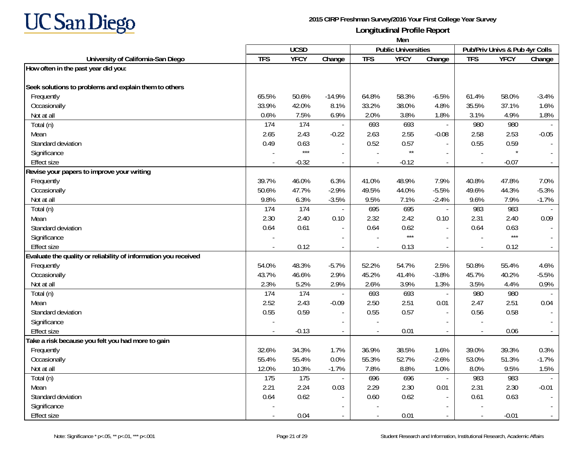

| <b>UCSD</b><br><b>Public Universities</b><br>Pub/Priv Univs & Pub 4yr Colls<br><b>TFS</b><br><b>YFCY</b><br><b>TFS</b><br><b>TFS</b><br><b>YFCY</b><br><b>YFCY</b><br>Change<br>Change<br>Change<br>University of California-San Diego<br>How often in the past year did you:<br>Seek solutions to problems and explain them to others<br>Frequently<br>65.5%<br>50.6%<br>$-14.9%$<br>64.8%<br>58.3%<br>$-6.5%$<br>61.4%<br>58.0%<br>$-3.4%$<br>35.5%<br>Occasionally<br>33.9%<br>42.0%<br>8.1%<br>33.2%<br>38.0%<br>4.8%<br>37.1%<br>1.6%<br>0.6%<br>7.5%<br>6.9%<br>3.8%<br>3.1%<br>4.9%<br>1.8%<br>Not at all<br>2.0%<br>1.8%<br>174<br>693<br>980<br>Total (n)<br>174<br>693<br>980<br>$\mathcal{L}_{\mathcal{A}}$<br>2.43<br>2.63<br>2.65<br>2.55<br>2.58<br>2.53<br>$-0.05$<br>Mean<br>$-0.22$<br>$-0.08$<br>Standard deviation<br>0.63<br>0.52<br>0.57<br>0.55<br>0.59<br>0.49<br>$\overline{\phantom{a}}$<br>$***$<br>$\star\star$<br>Significance<br>$\overline{a}$<br>$\overline{\phantom{a}}$<br><b>Effect size</b><br>$-0.32$<br>$-0.12$<br>$-0.07$<br>$\mathcal{L}_{\mathcal{A}}$<br>$\overline{\phantom{a}}$<br>$\sim$<br>$\sim$<br>Revise your papers to improve your writing<br>Frequently<br>39.7%<br>46.0%<br>6.3%<br>48.9%<br>7.9%<br>40.8%<br>47.8%<br>7.0%<br>41.0%<br>50.6%<br>47.7%<br>$-2.9%$<br>49.5%<br>44.0%<br>$-5.5%$<br>49.6%<br>44.3%<br>$-5.3%$<br>Occasionally<br>9.8%<br>6.3%<br>9.5%<br>7.1%<br>9.6%<br>7.9%<br>$-3.5%$<br>$-2.4%$<br>$-1.7%$<br>Not at all<br>174<br>695<br>983<br>983<br>174<br>695<br>Total (n)<br>$\mathcal{L}$<br>$\overline{a}$<br>2.40<br>2.32<br>2.31<br>Mean<br>2.30<br>2.42<br>0.10<br>2.40<br>0.09<br>0.10<br>0.61<br>Standard deviation<br>0.64<br>0.64<br>0.62<br>0.64<br>0.63<br>$\sim$<br>$***$<br>$***$<br>Significance<br>$\sim$<br><b>Effect size</b><br>0.12<br>0.13<br>0.12<br>$\overline{a}$<br>$\blacksquare$<br>Evaluate the quality or reliability of information you received<br>Frequently<br>54.0%<br>48.3%<br>$-5.7%$<br>52.2%<br>54.7%<br>2.5%<br>50.8%<br>55.4%<br>4.6%<br>Occasionally<br>43.7%<br>46.6%<br>2.9%<br>45.2%<br>41.4%<br>$-3.8%$<br>45.7%<br>40.2%<br>$-5.5%$ |            | Men  |      |      |      |      |      |      |      |      |
|--------------------------------------------------------------------------------------------------------------------------------------------------------------------------------------------------------------------------------------------------------------------------------------------------------------------------------------------------------------------------------------------------------------------------------------------------------------------------------------------------------------------------------------------------------------------------------------------------------------------------------------------------------------------------------------------------------------------------------------------------------------------------------------------------------------------------------------------------------------------------------------------------------------------------------------------------------------------------------------------------------------------------------------------------------------------------------------------------------------------------------------------------------------------------------------------------------------------------------------------------------------------------------------------------------------------------------------------------------------------------------------------------------------------------------------------------------------------------------------------------------------------------------------------------------------------------------------------------------------------------------------------------------------------------------------------------------------------------------------------------------------------------------------------------------------------------------------------------------------------------------------------------------------------------------------------------------------------------------------------------------------------------------------------------------------------------------------------------------------------------------------------------------------|------------|------|------|------|------|------|------|------|------|------|
|                                                                                                                                                                                                                                                                                                                                                                                                                                                                                                                                                                                                                                                                                                                                                                                                                                                                                                                                                                                                                                                                                                                                                                                                                                                                                                                                                                                                                                                                                                                                                                                                                                                                                                                                                                                                                                                                                                                                                                                                                                                                                                                                                              |            |      |      |      |      |      |      |      |      |      |
|                                                                                                                                                                                                                                                                                                                                                                                                                                                                                                                                                                                                                                                                                                                                                                                                                                                                                                                                                                                                                                                                                                                                                                                                                                                                                                                                                                                                                                                                                                                                                                                                                                                                                                                                                                                                                                                                                                                                                                                                                                                                                                                                                              |            |      |      |      |      |      |      |      |      |      |
|                                                                                                                                                                                                                                                                                                                                                                                                                                                                                                                                                                                                                                                                                                                                                                                                                                                                                                                                                                                                                                                                                                                                                                                                                                                                                                                                                                                                                                                                                                                                                                                                                                                                                                                                                                                                                                                                                                                                                                                                                                                                                                                                                              |            |      |      |      |      |      |      |      |      |      |
|                                                                                                                                                                                                                                                                                                                                                                                                                                                                                                                                                                                                                                                                                                                                                                                                                                                                                                                                                                                                                                                                                                                                                                                                                                                                                                                                                                                                                                                                                                                                                                                                                                                                                                                                                                                                                                                                                                                                                                                                                                                                                                                                                              |            |      |      |      |      |      |      |      |      |      |
|                                                                                                                                                                                                                                                                                                                                                                                                                                                                                                                                                                                                                                                                                                                                                                                                                                                                                                                                                                                                                                                                                                                                                                                                                                                                                                                                                                                                                                                                                                                                                                                                                                                                                                                                                                                                                                                                                                                                                                                                                                                                                                                                                              |            |      |      |      |      |      |      |      |      |      |
|                                                                                                                                                                                                                                                                                                                                                                                                                                                                                                                                                                                                                                                                                                                                                                                                                                                                                                                                                                                                                                                                                                                                                                                                                                                                                                                                                                                                                                                                                                                                                                                                                                                                                                                                                                                                                                                                                                                                                                                                                                                                                                                                                              |            |      |      |      |      |      |      |      |      |      |
|                                                                                                                                                                                                                                                                                                                                                                                                                                                                                                                                                                                                                                                                                                                                                                                                                                                                                                                                                                                                                                                                                                                                                                                                                                                                                                                                                                                                                                                                                                                                                                                                                                                                                                                                                                                                                                                                                                                                                                                                                                                                                                                                                              |            |      |      |      |      |      |      |      |      |      |
|                                                                                                                                                                                                                                                                                                                                                                                                                                                                                                                                                                                                                                                                                                                                                                                                                                                                                                                                                                                                                                                                                                                                                                                                                                                                                                                                                                                                                                                                                                                                                                                                                                                                                                                                                                                                                                                                                                                                                                                                                                                                                                                                                              |            |      |      |      |      |      |      |      |      |      |
|                                                                                                                                                                                                                                                                                                                                                                                                                                                                                                                                                                                                                                                                                                                                                                                                                                                                                                                                                                                                                                                                                                                                                                                                                                                                                                                                                                                                                                                                                                                                                                                                                                                                                                                                                                                                                                                                                                                                                                                                                                                                                                                                                              |            |      |      |      |      |      |      |      |      |      |
|                                                                                                                                                                                                                                                                                                                                                                                                                                                                                                                                                                                                                                                                                                                                                                                                                                                                                                                                                                                                                                                                                                                                                                                                                                                                                                                                                                                                                                                                                                                                                                                                                                                                                                                                                                                                                                                                                                                                                                                                                                                                                                                                                              |            |      |      |      |      |      |      |      |      |      |
|                                                                                                                                                                                                                                                                                                                                                                                                                                                                                                                                                                                                                                                                                                                                                                                                                                                                                                                                                                                                                                                                                                                                                                                                                                                                                                                                                                                                                                                                                                                                                                                                                                                                                                                                                                                                                                                                                                                                                                                                                                                                                                                                                              |            |      |      |      |      |      |      |      |      |      |
|                                                                                                                                                                                                                                                                                                                                                                                                                                                                                                                                                                                                                                                                                                                                                                                                                                                                                                                                                                                                                                                                                                                                                                                                                                                                                                                                                                                                                                                                                                                                                                                                                                                                                                                                                                                                                                                                                                                                                                                                                                                                                                                                                              |            |      |      |      |      |      |      |      |      |      |
|                                                                                                                                                                                                                                                                                                                                                                                                                                                                                                                                                                                                                                                                                                                                                                                                                                                                                                                                                                                                                                                                                                                                                                                                                                                                                                                                                                                                                                                                                                                                                                                                                                                                                                                                                                                                                                                                                                                                                                                                                                                                                                                                                              |            |      |      |      |      |      |      |      |      |      |
|                                                                                                                                                                                                                                                                                                                                                                                                                                                                                                                                                                                                                                                                                                                                                                                                                                                                                                                                                                                                                                                                                                                                                                                                                                                                                                                                                                                                                                                                                                                                                                                                                                                                                                                                                                                                                                                                                                                                                                                                                                                                                                                                                              |            |      |      |      |      |      |      |      |      |      |
|                                                                                                                                                                                                                                                                                                                                                                                                                                                                                                                                                                                                                                                                                                                                                                                                                                                                                                                                                                                                                                                                                                                                                                                                                                                                                                                                                                                                                                                                                                                                                                                                                                                                                                                                                                                                                                                                                                                                                                                                                                                                                                                                                              |            |      |      |      |      |      |      |      |      |      |
|                                                                                                                                                                                                                                                                                                                                                                                                                                                                                                                                                                                                                                                                                                                                                                                                                                                                                                                                                                                                                                                                                                                                                                                                                                                                                                                                                                                                                                                                                                                                                                                                                                                                                                                                                                                                                                                                                                                                                                                                                                                                                                                                                              |            |      |      |      |      |      |      |      |      |      |
|                                                                                                                                                                                                                                                                                                                                                                                                                                                                                                                                                                                                                                                                                                                                                                                                                                                                                                                                                                                                                                                                                                                                                                                                                                                                                                                                                                                                                                                                                                                                                                                                                                                                                                                                                                                                                                                                                                                                                                                                                                                                                                                                                              |            |      |      |      |      |      |      |      |      |      |
|                                                                                                                                                                                                                                                                                                                                                                                                                                                                                                                                                                                                                                                                                                                                                                                                                                                                                                                                                                                                                                                                                                                                                                                                                                                                                                                                                                                                                                                                                                                                                                                                                                                                                                                                                                                                                                                                                                                                                                                                                                                                                                                                                              |            |      |      |      |      |      |      |      |      |      |
|                                                                                                                                                                                                                                                                                                                                                                                                                                                                                                                                                                                                                                                                                                                                                                                                                                                                                                                                                                                                                                                                                                                                                                                                                                                                                                                                                                                                                                                                                                                                                                                                                                                                                                                                                                                                                                                                                                                                                                                                                                                                                                                                                              |            |      |      |      |      |      |      |      |      |      |
|                                                                                                                                                                                                                                                                                                                                                                                                                                                                                                                                                                                                                                                                                                                                                                                                                                                                                                                                                                                                                                                                                                                                                                                                                                                                                                                                                                                                                                                                                                                                                                                                                                                                                                                                                                                                                                                                                                                                                                                                                                                                                                                                                              |            |      |      |      |      |      |      |      |      |      |
|                                                                                                                                                                                                                                                                                                                                                                                                                                                                                                                                                                                                                                                                                                                                                                                                                                                                                                                                                                                                                                                                                                                                                                                                                                                                                                                                                                                                                                                                                                                                                                                                                                                                                                                                                                                                                                                                                                                                                                                                                                                                                                                                                              |            |      |      |      |      |      |      |      |      |      |
|                                                                                                                                                                                                                                                                                                                                                                                                                                                                                                                                                                                                                                                                                                                                                                                                                                                                                                                                                                                                                                                                                                                                                                                                                                                                                                                                                                                                                                                                                                                                                                                                                                                                                                                                                                                                                                                                                                                                                                                                                                                                                                                                                              |            |      |      |      |      |      |      |      |      |      |
|                                                                                                                                                                                                                                                                                                                                                                                                                                                                                                                                                                                                                                                                                                                                                                                                                                                                                                                                                                                                                                                                                                                                                                                                                                                                                                                                                                                                                                                                                                                                                                                                                                                                                                                                                                                                                                                                                                                                                                                                                                                                                                                                                              |            |      |      |      |      |      |      |      |      |      |
|                                                                                                                                                                                                                                                                                                                                                                                                                                                                                                                                                                                                                                                                                                                                                                                                                                                                                                                                                                                                                                                                                                                                                                                                                                                                                                                                                                                                                                                                                                                                                                                                                                                                                                                                                                                                                                                                                                                                                                                                                                                                                                                                                              |            |      |      |      |      |      |      |      |      |      |
|                                                                                                                                                                                                                                                                                                                                                                                                                                                                                                                                                                                                                                                                                                                                                                                                                                                                                                                                                                                                                                                                                                                                                                                                                                                                                                                                                                                                                                                                                                                                                                                                                                                                                                                                                                                                                                                                                                                                                                                                                                                                                                                                                              |            |      |      |      |      |      |      |      |      |      |
|                                                                                                                                                                                                                                                                                                                                                                                                                                                                                                                                                                                                                                                                                                                                                                                                                                                                                                                                                                                                                                                                                                                                                                                                                                                                                                                                                                                                                                                                                                                                                                                                                                                                                                                                                                                                                                                                                                                                                                                                                                                                                                                                                              | Not at all | 2.3% | 5.2% | 2.9% | 2.6% | 3.9% | 1.3% | 3.5% | 4.4% | 0.9% |
| 693<br>174<br>174<br>693<br>980<br>980<br>Total (n)<br>$\overline{\phantom{a}}$                                                                                                                                                                                                                                                                                                                                                                                                                                                                                                                                                                                                                                                                                                                                                                                                                                                                                                                                                                                                                                                                                                                                                                                                                                                                                                                                                                                                                                                                                                                                                                                                                                                                                                                                                                                                                                                                                                                                                                                                                                                                              |            |      |      |      |      |      |      |      |      |      |
| 2.43<br>2.51<br>2.52<br>2.50<br>2.51<br>0.01<br>2.47<br>0.04<br>$-0.09$<br>Mean                                                                                                                                                                                                                                                                                                                                                                                                                                                                                                                                                                                                                                                                                                                                                                                                                                                                                                                                                                                                                                                                                                                                                                                                                                                                                                                                                                                                                                                                                                                                                                                                                                                                                                                                                                                                                                                                                                                                                                                                                                                                              |            |      |      |      |      |      |      |      |      |      |
| 0.59<br>0.55<br>0.55<br>0.57<br>0.56<br>0.58<br>Standard deviation<br>$\sim$<br>$\overline{\phantom{a}}$                                                                                                                                                                                                                                                                                                                                                                                                                                                                                                                                                                                                                                                                                                                                                                                                                                                                                                                                                                                                                                                                                                                                                                                                                                                                                                                                                                                                                                                                                                                                                                                                                                                                                                                                                                                                                                                                                                                                                                                                                                                     |            |      |      |      |      |      |      |      |      |      |
| Significance<br>$\sim$<br>$\sim$<br>$\overline{a}$<br>$\overline{a}$                                                                                                                                                                                                                                                                                                                                                                                                                                                                                                                                                                                                                                                                                                                                                                                                                                                                                                                                                                                                                                                                                                                                                                                                                                                                                                                                                                                                                                                                                                                                                                                                                                                                                                                                                                                                                                                                                                                                                                                                                                                                                         |            |      |      |      |      |      |      |      |      |      |
| <b>Effect size</b><br>$-0.13$<br>0.01<br>0.06<br>$\sim$<br>$\sim$<br>$\blacksquare$<br>$\sim$<br>$\sim$                                                                                                                                                                                                                                                                                                                                                                                                                                                                                                                                                                                                                                                                                                                                                                                                                                                                                                                                                                                                                                                                                                                                                                                                                                                                                                                                                                                                                                                                                                                                                                                                                                                                                                                                                                                                                                                                                                                                                                                                                                                      |            |      |      |      |      |      |      |      |      |      |
| Take a risk because you felt you had more to gain                                                                                                                                                                                                                                                                                                                                                                                                                                                                                                                                                                                                                                                                                                                                                                                                                                                                                                                                                                                                                                                                                                                                                                                                                                                                                                                                                                                                                                                                                                                                                                                                                                                                                                                                                                                                                                                                                                                                                                                                                                                                                                            |            |      |      |      |      |      |      |      |      |      |
| 34.3%<br>Frequently<br>32.6%<br>1.7%<br>36.9%<br>38.5%<br>1.6%<br>39.0%<br>39.3%<br>0.3%                                                                                                                                                                                                                                                                                                                                                                                                                                                                                                                                                                                                                                                                                                                                                                                                                                                                                                                                                                                                                                                                                                                                                                                                                                                                                                                                                                                                                                                                                                                                                                                                                                                                                                                                                                                                                                                                                                                                                                                                                                                                     |            |      |      |      |      |      |      |      |      |      |
| 55.4%<br>55.4%<br>0.0%<br>55.3%<br>52.7%<br>$-2.6%$<br>53.0%<br>51.3%<br>$-1.7%$<br>Occasionally                                                                                                                                                                                                                                                                                                                                                                                                                                                                                                                                                                                                                                                                                                                                                                                                                                                                                                                                                                                                                                                                                                                                                                                                                                                                                                                                                                                                                                                                                                                                                                                                                                                                                                                                                                                                                                                                                                                                                                                                                                                             |            |      |      |      |      |      |      |      |      |      |
| 10.3%<br>8.8%<br>8.0%<br>9.5%<br>12.0%<br>$-1.7%$<br>7.8%<br>1.0%<br>1.5%<br>Not at all                                                                                                                                                                                                                                                                                                                                                                                                                                                                                                                                                                                                                                                                                                                                                                                                                                                                                                                                                                                                                                                                                                                                                                                                                                                                                                                                                                                                                                                                                                                                                                                                                                                                                                                                                                                                                                                                                                                                                                                                                                                                      |            |      |      |      |      |      |      |      |      |      |
| 175<br>983<br>Total (n)<br>175<br>696<br>696<br>983<br>$\blacksquare$<br>$\blacksquare$<br>$\sim$                                                                                                                                                                                                                                                                                                                                                                                                                                                                                                                                                                                                                                                                                                                                                                                                                                                                                                                                                                                                                                                                                                                                                                                                                                                                                                                                                                                                                                                                                                                                                                                                                                                                                                                                                                                                                                                                                                                                                                                                                                                            |            |      |      |      |      |      |      |      |      |      |
| 2.24<br>2.30<br>2.31<br>2.21<br>2.29<br>0.01<br>2.30<br>$-0.01$<br>Mean<br>0.03                                                                                                                                                                                                                                                                                                                                                                                                                                                                                                                                                                                                                                                                                                                                                                                                                                                                                                                                                                                                                                                                                                                                                                                                                                                                                                                                                                                                                                                                                                                                                                                                                                                                                                                                                                                                                                                                                                                                                                                                                                                                              |            |      |      |      |      |      |      |      |      |      |
| Standard deviation<br>0.62<br>0.64<br>0.60<br>0.62<br>0.61<br>0.63<br>$\overline{\phantom{a}}$<br>$\overline{\phantom{a}}$<br>$\sim$                                                                                                                                                                                                                                                                                                                                                                                                                                                                                                                                                                                                                                                                                                                                                                                                                                                                                                                                                                                                                                                                                                                                                                                                                                                                                                                                                                                                                                                                                                                                                                                                                                                                                                                                                                                                                                                                                                                                                                                                                         |            |      |      |      |      |      |      |      |      |      |
| Significance                                                                                                                                                                                                                                                                                                                                                                                                                                                                                                                                                                                                                                                                                                                                                                                                                                                                                                                                                                                                                                                                                                                                                                                                                                                                                                                                                                                                                                                                                                                                                                                                                                                                                                                                                                                                                                                                                                                                                                                                                                                                                                                                                 |            |      |      |      |      |      |      |      |      |      |
| 0.04<br>0.01<br>$-0.01$<br><b>Effect size</b><br>$\sim$<br>$\blacksquare$<br>$\overline{\phantom{a}}$<br>$\overline{\phantom{a}}$                                                                                                                                                                                                                                                                                                                                                                                                                                                                                                                                                                                                                                                                                                                                                                                                                                                                                                                                                                                                                                                                                                                                                                                                                                                                                                                                                                                                                                                                                                                                                                                                                                                                                                                                                                                                                                                                                                                                                                                                                            |            |      |      |      |      |      |      |      |      |      |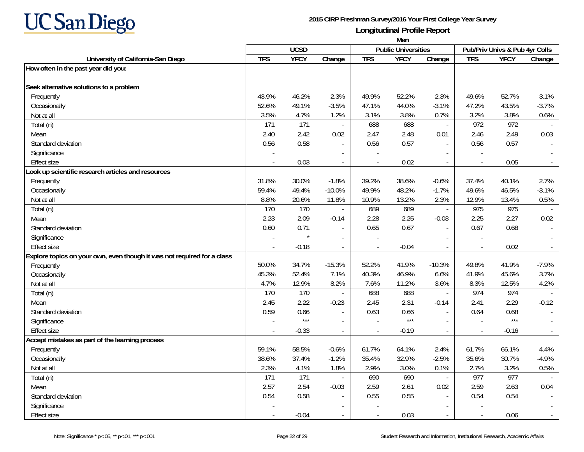

|                                                                         | Men        |             |                          |            |                            |                          |            |                                |                             |
|-------------------------------------------------------------------------|------------|-------------|--------------------------|------------|----------------------------|--------------------------|------------|--------------------------------|-----------------------------|
|                                                                         |            | <b>UCSD</b> |                          |            | <b>Public Universities</b> |                          |            | Pub/Priv Univs & Pub 4yr Colls |                             |
| University of California-San Diego                                      | <b>TFS</b> | <b>YFCY</b> | Change                   | <b>TFS</b> | <b>YFCY</b>                | Change                   | <b>TFS</b> | <b>YFCY</b>                    | Change                      |
| How often in the past year did you:                                     |            |             |                          |            |                            |                          |            |                                |                             |
|                                                                         |            |             |                          |            |                            |                          |            |                                |                             |
| Seek alternative solutions to a problem                                 |            |             |                          |            |                            |                          |            |                                |                             |
| Frequently                                                              | 43.9%      | 46.2%       | 2.3%                     | 49.9%      | 52.2%                      | 2.3%                     | 49.6%      | 52.7%                          | 3.1%                        |
| Occasionally                                                            | 52.6%      | 49.1%       | $-3.5%$                  | 47.1%      | 44.0%                      | $-3.1%$                  | 47.2%      | 43.5%                          | $-3.7%$                     |
| Not at all                                                              | 3.5%       | 4.7%        | 1.2%                     | 3.1%       | 3.8%                       | 0.7%                     | 3.2%       | 3.8%                           | 0.6%                        |
| Total (n)                                                               | 171        | 171         |                          | 688        | 688                        | $\blacksquare$           | 972        | 972                            |                             |
| Mean                                                                    | 2.40       | 2.42        | 0.02                     | 2.47       | 2.48                       | 0.01                     | 2.46       | 2.49                           | 0.03                        |
| Standard deviation                                                      | 0.56       | 0.58        |                          | 0.56       | 0.57                       | $\mathbf{r}$             | 0.56       | 0.57                           |                             |
| Significance                                                            |            |             |                          |            |                            |                          |            |                                |                             |
| <b>Effect size</b>                                                      |            | 0.03        | $\blacksquare$           |            | 0.02                       | $\sim$                   | $\sim$     | 0.05                           | $\sim$                      |
| ook up scientific research articles and resources                       |            |             |                          |            |                            |                          |            |                                |                             |
| Frequently                                                              | 31.8%      | 30.0%       | $-1.8%$                  | 39.2%      | 38.6%                      | $-0.6%$                  | 37.4%      | 40.1%                          | 2.7%                        |
| Occasionally                                                            | 59.4%      | 49.4%       | $-10.0%$                 | 49.9%      | 48.2%                      | $-1.7%$                  | 49.6%      | 46.5%                          | $-3.1%$                     |
| Not at all                                                              | 8.8%       | 20.6%       | 11.8%                    | 10.9%      | 13.2%                      | 2.3%                     | 12.9%      | 13.4%                          | 0.5%                        |
| Total (n)                                                               | 170        | 170         | $\blacksquare$           | 689        | 689                        | $\blacksquare$           | 975        | 975                            |                             |
| Mean                                                                    | 2.23       | 2.09        | $-0.14$                  | 2.28       | 2.25                       | $-0.03$                  | 2.25       | 2.27                           | 0.02                        |
| Standard deviation                                                      | 0.60       | 0.71        | $\blacksquare$           | 0.65       | 0.67                       | $\mathbf{r}$             | 0.67       | 0.68                           | $\blacksquare$              |
| Significance                                                            |            |             |                          |            |                            |                          |            |                                |                             |
| <b>Effect size</b>                                                      |            | $-0.18$     | $\sim$                   |            | $-0.04$                    | $\sim$                   |            | 0.02                           | $\sim$                      |
| Explore topics on your own, even though it was not required for a class |            |             |                          |            |                            |                          |            |                                |                             |
| Frequently                                                              | 50.0%      | 34.7%       | $-15.3%$                 | 52.2%      | 41.9%                      | $-10.3%$                 | 49.8%      | 41.9%                          | $-7.9%$                     |
| Occasionally                                                            | 45.3%      | 52.4%       | 7.1%                     | 40.3%      | 46.9%                      | 6.6%                     | 41.9%      | 45.6%                          | 3.7%                        |
| Not at all                                                              | 4.7%       | 12.9%       | 8.2%                     | 7.6%       | 11.2%                      | 3.6%                     | 8.3%       | 12.5%                          | 4.2%                        |
| Total (n)                                                               | 170        | 170         |                          | 688        | 688                        | $\overline{\phantom{a}}$ | 974        | 974                            |                             |
| Mean                                                                    | 2.45       | 2.22        | $-0.23$                  | 2.45       | 2.31                       | $-0.14$                  | 2.41       | 2.29                           | $-0.12$                     |
| Standard deviation                                                      | 0.59       | 0.66        |                          | 0.63       | 0.66                       | $\overline{a}$           | 0.64       | 0.68                           |                             |
| Significance                                                            |            | $***$       | $\overline{a}$           |            | $***$                      | $\overline{\phantom{a}}$ |            | $***$                          | $\sim$                      |
| <b>Effect size</b>                                                      |            | $-0.33$     | $\overline{\phantom{a}}$ |            | $-0.19$                    | $\sim$                   |            | $-0.16$                        | $\sim$                      |
| Accept mistakes as part of the learning process                         |            |             |                          |            |                            |                          |            |                                |                             |
| Frequently                                                              | 59.1%      | 58.5%       | $-0.6%$                  | 61.7%      | 64.1%                      | 2.4%                     | 61.7%      | 66.1%                          | 4.4%                        |
| Occasionally                                                            | 38.6%      | 37.4%       | $-1.2%$                  | 35.4%      | 32.9%                      | $-2.5%$                  | 35.6%      | 30.7%                          | $-4.9%$                     |
| Not at all                                                              | 2.3%       | 4.1%        | 1.8%                     | 2.9%       | 3.0%                       | 0.1%                     | 2.7%       | 3.2%                           | 0.5%                        |
| Total (n)                                                               | 171        | 171         | $\overline{\phantom{a}}$ | 690        | 690                        | $\blacksquare$           | 977        | 977                            |                             |
| Mean                                                                    | 2.57       | 2.54        | $-0.03$                  | 2.59       | 2.61                       | 0.02                     | 2.59       | 2.63                           | 0.04                        |
| Standard deviation                                                      | 0.54       | 0.58        | $\overline{\phantom{a}}$ | 0.55       | 0.55                       | $\mathbf{r}$             | 0.54       | 0.54                           |                             |
| Significance                                                            |            |             |                          |            |                            |                          |            |                                |                             |
| <b>Effect size</b>                                                      |            | $-0.04$     |                          |            | 0.03                       |                          |            | 0.06                           | $\mathcal{L}_{\mathcal{A}}$ |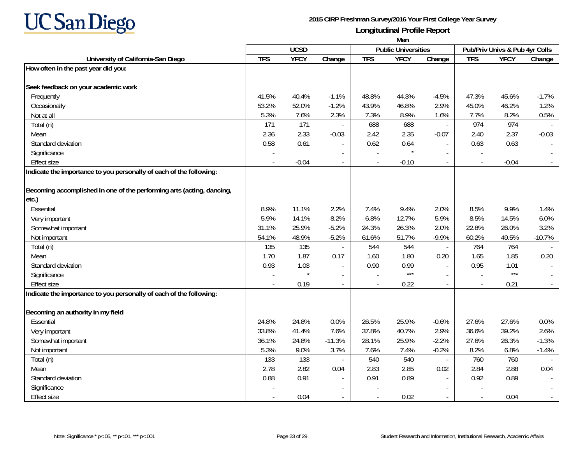

|                                                                       | Men        |             |                |            |                            |                          |                          |                                |          |
|-----------------------------------------------------------------------|------------|-------------|----------------|------------|----------------------------|--------------------------|--------------------------|--------------------------------|----------|
|                                                                       |            | <b>UCSD</b> |                |            | <b>Public Universities</b> |                          |                          | Pub/Priv Univs & Pub 4yr Colls |          |
| University of California-San Diego                                    | <b>TFS</b> | <b>YFCY</b> | Change         | <b>TFS</b> | <b>YFCY</b>                | Change                   | <b>TFS</b>               | <b>YFCY</b>                    | Change   |
| How often in the past year did you:                                   |            |             |                |            |                            |                          |                          |                                |          |
|                                                                       |            |             |                |            |                            |                          |                          |                                |          |
| Seek feedback on your academic work                                   |            |             |                |            |                            |                          |                          |                                |          |
| Frequently                                                            | 41.5%      | 40.4%       | $-1.1%$        | 48.8%      | 44.3%                      | $-4.5%$                  | 47.3%                    | 45.6%                          | $-1.7%$  |
| Occasionally                                                          | 53.2%      | 52.0%       | $-1.2%$        | 43.9%      | 46.8%                      | 2.9%                     | 45.0%                    | 46.2%                          | 1.2%     |
| Not at all                                                            | 5.3%       | 7.6%        | 2.3%           | 7.3%       | 8.9%                       | 1.6%                     | 7.7%                     | 8.2%                           | 0.5%     |
| Total (n)                                                             | 171        | 171         |                | 688        | 688                        | $\sim$                   | 974                      | 974                            |          |
| Mean                                                                  | 2.36       | 2.33        | $-0.03$        | 2.42       | 2.35                       | $-0.07$                  | 2.40                     | 2.37                           | $-0.03$  |
| Standard deviation                                                    | 0.58       | 0.61        |                | 0.62       | 0.64                       | $\overline{a}$           | 0.63                     | 0.63                           |          |
| Significance                                                          |            |             |                |            | $\star$                    |                          |                          |                                |          |
| <b>Effect size</b>                                                    |            | $-0.04$     |                |            | $-0.10$                    | $\sim$                   | $\overline{a}$           | $-0.04$                        |          |
| Indicate the importance to you personally of each of the following:   |            |             |                |            |                            |                          |                          |                                |          |
|                                                                       |            |             |                |            |                            |                          |                          |                                |          |
| Becoming accomplished in one of the performing arts (acting, dancing, |            |             |                |            |                            |                          |                          |                                |          |
| etc.)                                                                 |            |             |                |            |                            |                          |                          |                                |          |
| Essential                                                             | 8.9%       | 11.1%       | 2.2%           | 7.4%       | 9.4%                       | 2.0%                     | 8.5%                     | 9.9%                           | 1.4%     |
| Very important                                                        | 5.9%       | 14.1%       | 8.2%           | 6.8%       | 12.7%                      | 5.9%                     | 8.5%                     | 14.5%                          | 6.0%     |
| Somewhat important                                                    | 31.1%      | 25.9%       | $-5.2%$        | 24.3%      | 26.3%                      | 2.0%                     | 22.8%                    | 26.0%                          | 3.2%     |
| Not important                                                         | 54.1%      | 48.9%       | $-5.2%$        | 61.6%      | 51.7%                      | $-9.9%$                  | 60.2%                    | 49.5%                          | $-10.7%$ |
| Total (n)                                                             | 135        | 135         |                | 544        | 544                        | $\overline{\phantom{a}}$ | 764                      | 764                            |          |
| Mean                                                                  | 1.70       | 1.87        | 0.17           | 1.60       | 1.80                       | 0.20                     | 1.65                     | 1.85                           | 0.20     |
| Standard deviation                                                    | 0.93       | 1.03        |                | 0.90       | 0.99                       | $\sim$                   | 0.95                     | 1.01                           |          |
| Significance                                                          |            |             | $\blacksquare$ |            | $***$                      | $\blacksquare$           | $\overline{\phantom{a}}$ | $***$                          |          |
| <b>Effect size</b>                                                    |            | 0.19        | $\overline{a}$ |            | 0.22                       | $\sim$                   |                          | 0.21                           |          |
| Indicate the importance to you personally of each of the following:   |            |             |                |            |                            |                          |                          |                                |          |
| Becoming an authority in my field                                     |            |             |                |            |                            |                          |                          |                                |          |
| Essential                                                             | 24.8%      | 24.8%       | 0.0%           | 26.5%      | 25.9%                      | $-0.6%$                  | 27.6%                    | 27.6%                          | 0.0%     |
| Very important                                                        | 33.8%      | 41.4%       | 7.6%           | 37.8%      | 40.7%                      | 2.9%                     | 36.6%                    | 39.2%                          | 2.6%     |
| Somewhat important                                                    | 36.1%      | 24.8%       | $-11.3%$       | 28.1%      | 25.9%                      | $-2.2%$                  | 27.6%                    | 26.3%                          | $-1.3%$  |
| Not important                                                         | 5.3%       | 9.0%        | 3.7%           | 7.6%       | 7.4%                       | $-0.2%$                  | 8.2%                     | 6.8%                           | $-1.4%$  |
| Total (n)                                                             | 133        | 133         |                | 540        | 540                        | $\sim$                   | 760                      | 760                            |          |
| Mean                                                                  | 2.78       | 2.82        | 0.04           | 2.83       | 2.85                       | 0.02                     | 2.84                     | 2.88                           | 0.04     |
| Standard deviation                                                    | 0.88       | 0.91        |                | 0.91       | 0.89                       | $\sim$                   | 0.92                     | 0.89                           |          |
| Significance                                                          |            |             |                |            |                            | $\sim$                   |                          |                                |          |
| <b>Effect size</b>                                                    |            | 0.04        |                |            | 0.02                       |                          |                          | 0.04                           |          |
|                                                                       |            |             |                |            |                            |                          |                          |                                |          |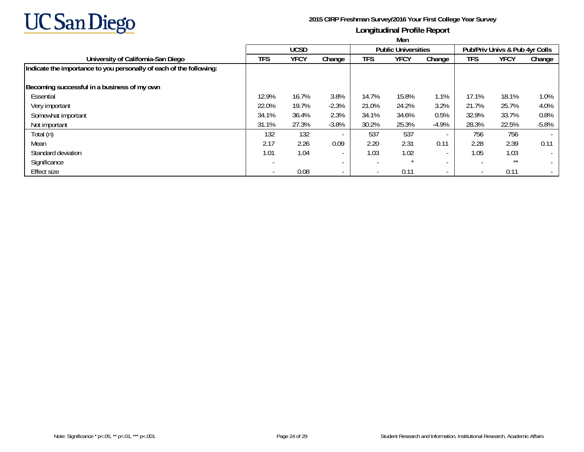

|                                                                     | Men                      |             |                          |                          |                            |                          |                          |                                |                          |  |  |
|---------------------------------------------------------------------|--------------------------|-------------|--------------------------|--------------------------|----------------------------|--------------------------|--------------------------|--------------------------------|--------------------------|--|--|
|                                                                     |                          | <b>UCSD</b> |                          |                          | <b>Public Universities</b> |                          |                          | Pub/Priv Univs & Pub 4yr Colls |                          |  |  |
| University of California-San Diego                                  | <b>TFS</b>               | <b>YFCY</b> | Change                   | <b>TFS</b>               | <b>YFCY</b>                | Change                   | <b>TFS</b>               | <b>YFCY</b>                    | Change                   |  |  |
| Indicate the importance to you personally of each of the following: |                          |             |                          |                          |                            |                          |                          |                                |                          |  |  |
| Becoming successful in a business of my own                         |                          |             |                          |                          |                            |                          |                          |                                |                          |  |  |
| Essential                                                           | 12.9%                    | 16.7%       | 3.8%                     | 14.7%                    | 15.8%                      | 1.1%                     | 17.1%                    | 18.1%                          | 1.0%                     |  |  |
| Very important                                                      | 22.0%                    | 19.7%       | $-2.3%$                  | 21.0%                    | 24.2%                      | 3.2%                     | 21.7%                    | 25.7%                          | 4.0%                     |  |  |
| Somewhat important                                                  | 34.1%                    | 36.4%       | 2.3%                     | 34.1%                    | 34.6%                      | 0.5%                     | 32.9%                    | 33.7%                          | 0.8%                     |  |  |
| Not important                                                       | 31.1%                    | 27.3%       | $-3.8%$                  | 30.2%                    | 25.3%                      | $-4.9%$                  | 28.3%                    | 22.5%                          | $-5.8%$                  |  |  |
| Total (n)                                                           | 132                      | 132         | $\overline{\phantom{a}}$ | 537                      | 537                        | $\overline{\phantom{a}}$ | 756                      | 756                            | $\overline{\phantom{a}}$ |  |  |
| Mean                                                                | 2.17                     | 2.26        | 0.09                     | 2.20                     | 2.31                       | 0.11                     | 2.28                     | 2.39                           | 0.11                     |  |  |
| Standard deviation                                                  | 1.01                     | 1.04        | $\overline{\phantom{a}}$ | 1.03                     | 1.02                       | $\overline{\phantom{a}}$ | 1.05                     | 1.03                           | $\overline{\phantom{a}}$ |  |  |
| Significance                                                        | $\overline{\phantom{a}}$ |             | $\overline{\phantom{a}}$ | $\overline{\phantom{a}}$ |                            | $\sim$                   | $\overline{\phantom{a}}$ | **                             |                          |  |  |
| <b>Effect size</b>                                                  |                          | 0.08        | $\overline{\phantom{0}}$ | $\overline{\phantom{a}}$ | 0.11                       | $\sim$                   | $\overline{\phantom{0}}$ | 0.11                           |                          |  |  |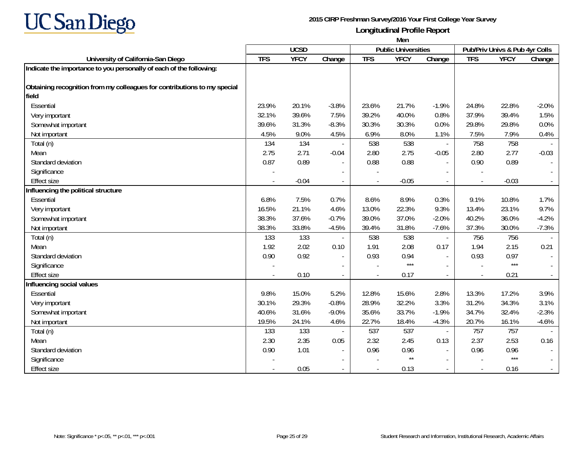

|                                                                          | Men         |             |                          |                            |                 |                                |            |             |                  |
|--------------------------------------------------------------------------|-------------|-------------|--------------------------|----------------------------|-----------------|--------------------------------|------------|-------------|------------------|
|                                                                          | <b>UCSD</b> |             |                          | <b>Public Universities</b> |                 | Pub/Priv Univs & Pub 4yr Colls |            |             |                  |
| University of California-San Diego                                       | <b>TFS</b>  | <b>YFCY</b> | Change                   | <b>TFS</b>                 | <b>YFCY</b>     | $\overline{Change}$            | <b>TFS</b> | <b>YFCY</b> | Change           |
| Indicate the importance to you personally of each of the following:      |             |             |                          |                            |                 |                                |            |             |                  |
|                                                                          |             |             |                          |                            |                 |                                |            |             |                  |
| Obtaining recognition from my colleagues for contributions to my special |             |             |                          |                            |                 |                                |            |             |                  |
| field                                                                    |             |             |                          |                            |                 |                                |            |             |                  |
| Essential                                                                | 23.9%       | 20.1%       | $-3.8%$                  | 23.6%                      | 21.7%           | $-1.9%$                        | 24.8%      | 22.8%       | $-2.0%$          |
| Very important                                                           | 32.1%       | 39.6%       | 7.5%                     | 39.2%                      | 40.0%           | 0.8%                           | 37.9%      | 39.4%       | 1.5%             |
| Somewhat important                                                       | 39.6%       | 31.3%       | $-8.3%$                  | 30.3%                      | 30.3%           | 0.0%                           | 29.8%      | 29.8%       | 0.0%             |
| Not important                                                            | 4.5%        | 9.0%        | 4.5%                     | 6.9%                       | 8.0%            | 1.1%                           | 7.5%       | 7.9%        | 0.4%             |
| Total (n)                                                                | 134         | 134         |                          | 538                        | 538             | $\blacksquare$                 | 758        | 758         |                  |
| Mean                                                                     | 2.75        | 2.71        | $-0.04$                  | 2.80                       | 2.75            | $-0.05$                        | 2.80       | 2.77        | $-0.03$          |
| Standard deviation                                                       | 0.87        | 0.89        |                          | 0.88                       | 0.88            |                                | 0.90       | 0.89        |                  |
| Significance                                                             |             |             |                          |                            |                 |                                |            |             |                  |
| <b>Effect size</b>                                                       |             | $-0.04$     | $\overline{\phantom{a}}$ |                            | $-0.05$         |                                |            | $-0.03$     | $\omega_{\rm c}$ |
| Influencing the political structure                                      |             |             |                          |                            |                 |                                |            |             |                  |
| Essential                                                                | 6.8%        | 7.5%        | 0.7%                     | 8.6%                       | 8.9%            | 0.3%                           | 9.1%       | 10.8%       | 1.7%             |
| Very important                                                           | 16.5%       | 21.1%       | 4.6%                     | 13.0%                      | 22.3%           | 9.3%                           | 13.4%      | 23.1%       | 9.7%             |
| Somewhat important                                                       | 38.3%       | 37.6%       | $-0.7%$                  | 39.0%                      | 37.0%           | $-2.0%$                        | 40.2%      | 36.0%       | $-4.2%$          |
| Not important                                                            | 38.3%       | 33.8%       | $-4.5%$                  | 39.4%                      | 31.8%           | $-7.6%$                        | 37.3%      | 30.0%       | $-7.3%$          |
| Total (n)                                                                | 133         | 133         |                          | 538                        | 538             | $\overline{\phantom{a}}$       | 756        | 756         |                  |
| Mean                                                                     | 1.92        | 2.02        | 0.10                     | 1.91                       | 2.08            | 0.17                           | 1.94       | 2.15        | 0.21             |
| Standard deviation                                                       | 0.90        | 0.92        | $\overline{\phantom{a}}$ | 0.93                       | 0.94            | $\blacksquare$                 | 0.93       | 0.97        | $\sim$           |
| Significance                                                             |             |             |                          |                            | $***$           |                                |            | $***$       |                  |
| Effect size                                                              |             | 0.10        | $\overline{\phantom{a}}$ |                            | 0.17            | $\sim$                         |            | 0.21        | $\sim$           |
| Influencing social values                                                |             |             |                          |                            |                 |                                |            |             |                  |
| Essential                                                                | 9.8%        | 15.0%       | 5.2%                     | 12.8%                      | 15.6%           | 2.8%                           | 13.3%      | 17.2%       | 3.9%             |
| Very important                                                           | 30.1%       | 29.3%       | $-0.8%$                  | 28.9%                      | 32.2%           | 3.3%                           | 31.2%      | 34.3%       | 3.1%             |
| Somewhat important                                                       | 40.6%       | 31.6%       | $-9.0%$                  | 35.6%                      | 33.7%           | $-1.9%$                        | 34.7%      | 32.4%       | $-2.3%$          |
| Not important                                                            | 19.5%       | 24.1%       | 4.6%                     | 22.7%                      | 18.4%           | $-4.3%$                        | 20.7%      | 16.1%       | $-4.6%$          |
| Total (n)                                                                | 133         | 133         |                          | 537                        | 537             | $\blacksquare$                 | 757        | 757         |                  |
| Mean                                                                     | 2.30        | 2.35        | 0.05                     | 2.32                       | 2.45            | 0.13                           | 2.37       | 2.53        | 0.16             |
| Standard deviation                                                       | 0.90        | 1.01        | $\overline{a}$           | 0.96                       | 0.96            | $\blacksquare$                 | 0.96       | 0.96        |                  |
| Significance                                                             |             |             |                          |                            | $^{\star\star}$ |                                |            | $***$       |                  |
| <b>Effect size</b>                                                       |             | 0.05        |                          |                            | 0.13            |                                |            | 0.16        | $\sim$           |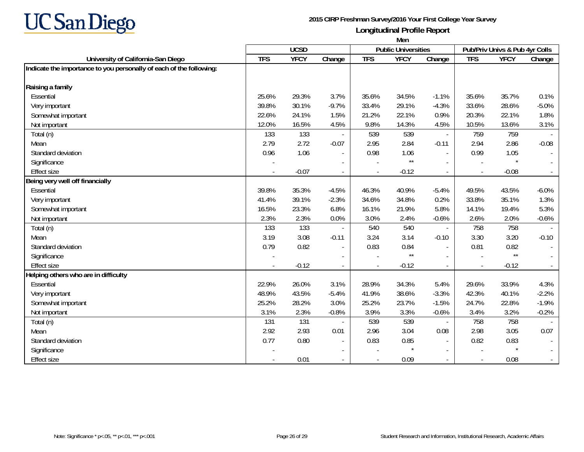

|                                                                     | Men        |                                           |                          |            |              |                          |            |                                |          |  |  |
|---------------------------------------------------------------------|------------|-------------------------------------------|--------------------------|------------|--------------|--------------------------|------------|--------------------------------|----------|--|--|
|                                                                     |            | <b>UCSD</b><br><b>Public Universities</b> |                          |            |              |                          |            | Pub/Priv Univs & Pub 4yr Colls |          |  |  |
| University of California-San Diego                                  | <b>TFS</b> | <b>YFCY</b>                               | Change                   | <b>TFS</b> | <b>YFCY</b>  | Change                   | <b>TFS</b> | <b>YFCY</b>                    | Change   |  |  |
| Indicate the importance to you personally of each of the following: |            |                                           |                          |            |              |                          |            |                                |          |  |  |
| Raising a family                                                    |            |                                           |                          |            |              |                          |            |                                |          |  |  |
| Essential                                                           | 25.6%      | 29.3%                                     | 3.7%                     | 35.6%      | 34.5%        | $-1.1%$                  | 35.6%      | 35.7%                          | 0.1%     |  |  |
| Very important                                                      | 39.8%      | 30.1%                                     | $-9.7%$                  | 33.4%      | 29.1%        | $-4.3%$                  | 33.6%      | 28.6%                          | $-5.0%$  |  |  |
| Somewhat important                                                  | 22.6%      | 24.1%                                     | 1.5%                     | 21.2%      | 22.1%        | 0.9%                     | 20.3%      | 22.1%                          | 1.8%     |  |  |
| Not important                                                       | 12.0%      | 16.5%                                     | 4.5%                     | 9.8%       | 14.3%        | 4.5%                     | 10.5%      | 13.6%                          | 3.1%     |  |  |
| Total (n)                                                           | 133        | 133                                       |                          | 539        | 539          | $\overline{\phantom{a}}$ | 759        | 759                            |          |  |  |
| Mean                                                                | 2.79       | 2.72                                      | $-0.07$                  | 2.95       | 2.84         | $-0.11$                  | 2.94       | 2.86                           | $-0.08$  |  |  |
| Standard deviation                                                  | 0.96       | 1.06                                      | $\blacksquare$           | 0.98       | 1.06         | $\blacksquare$           | 0.99       | 1.05                           | $\sim$   |  |  |
| Significance                                                        |            |                                           | $\blacksquare$           |            | $\star\star$ | $\sim$                   |            |                                |          |  |  |
| <b>Effect size</b>                                                  |            | $-0.07$                                   |                          |            | $-0.12$      | $\sim$                   |            | $-0.08$                        | $\sim$   |  |  |
| Being very well off financially                                     |            |                                           |                          |            |              |                          |            |                                |          |  |  |
| Essential                                                           | 39.8%      | 35.3%                                     | $-4.5%$                  | 46.3%      | 40.9%        | $-5.4%$                  | 49.5%      | 43.5%                          | $-6.0\%$ |  |  |
| Very important                                                      | 41.4%      | 39.1%                                     | $-2.3%$                  | 34.6%      | 34.8%        | 0.2%                     | 33.8%      | 35.1%                          | 1.3%     |  |  |
| Somewhat important                                                  | 16.5%      | 23.3%                                     | 6.8%                     | 16.1%      | 21.9%        | 5.8%                     | 14.1%      | 19.4%                          | 5.3%     |  |  |
| Not important                                                       | 2.3%       | 2.3%                                      | 0.0%                     | 3.0%       | 2.4%         | $-0.6%$                  | 2.6%       | 2.0%                           | $-0.6%$  |  |  |
| Total (n)                                                           | 133        | 133                                       |                          | 540        | 540          | $\mathcal{L}$            | 758        | 758                            |          |  |  |
| Mean                                                                | 3.19       | 3.08                                      | $-0.11$                  | 3.24       | 3.14         | $-0.10$                  | 3.30       | 3.20                           | $-0.10$  |  |  |
| Standard deviation                                                  | 0.79       | 0.82                                      | $\overline{\phantom{a}}$ | 0.83       | 0.84         | $\sim$                   | 0.81       | 0.82                           | $\sim$   |  |  |
| Significance                                                        |            |                                           |                          |            | $\star\star$ |                          |            | $\star\star$                   |          |  |  |
| <b>Effect size</b>                                                  |            | $-0.12$                                   |                          |            | $-0.12$      | $\sim$                   | $\sim$     | $-0.12$                        | $\sim$   |  |  |
| Helping others who are in difficulty                                |            |                                           |                          |            |              |                          |            |                                |          |  |  |
| Essential                                                           | 22.9%      | 26.0%                                     | 3.1%                     | 28.9%      | 34.3%        | 5.4%                     | 29.6%      | 33.9%                          | 4.3%     |  |  |
| Very important                                                      | 48.9%      | 43.5%                                     | $-5.4%$                  | 41.9%      | 38.6%        | $-3.3%$                  | 42.3%      | 40.1%                          | $-2.2%$  |  |  |
| Somewhat important                                                  | 25.2%      | 28.2%                                     | 3.0%                     | 25.2%      | 23.7%        | $-1.5%$                  | 24.7%      | 22.8%                          | $-1.9%$  |  |  |
| Not important                                                       | 3.1%       | 2.3%                                      | $-0.8%$                  | 3.9%       | 3.3%         | $-0.6%$                  | 3.4%       | 3.2%                           | $-0.2%$  |  |  |
| Total (n)                                                           | 131        | 131                                       |                          | 539        | 539          |                          | 758        | 758                            |          |  |  |
| Mean                                                                | 2.92       | 2.93                                      | 0.01                     | 2.96       | 3.04         | 0.08                     | 2.98       | 3.05                           | 0.07     |  |  |
| Standard deviation                                                  | 0.77       | 0.80                                      | $\overline{\phantom{a}}$ | 0.83       | 0.85         | $\overline{\phantom{a}}$ | 0.82       | 0.83                           |          |  |  |
| Significance                                                        |            |                                           | $\overline{\phantom{a}}$ |            | $\star$      | $\sim$                   |            | $\star$                        |          |  |  |
| <b>Effect size</b>                                                  |            | 0.01                                      | $\overline{\phantom{a}}$ |            | 0.09         | $\sim$                   |            | 0.08                           | $\sim$   |  |  |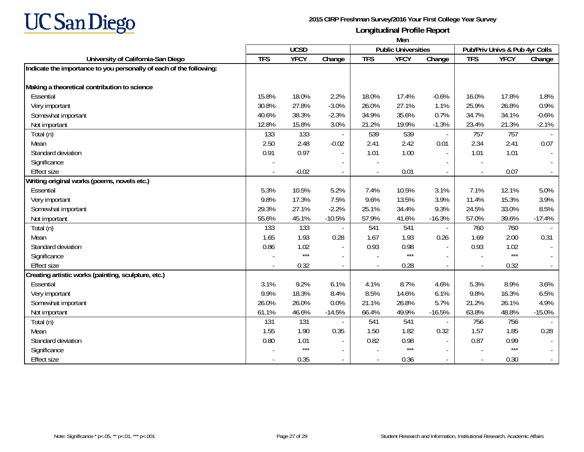

|                                                                     | Men                                       |             |                          |            |             |                |                                |             |          |  |
|---------------------------------------------------------------------|-------------------------------------------|-------------|--------------------------|------------|-------------|----------------|--------------------------------|-------------|----------|--|
|                                                                     | <b>UCSD</b><br><b>Public Universities</b> |             |                          |            |             |                | Pub/Priv Univs & Pub 4yr Colls |             |          |  |
| University of California-San Diego                                  | <b>TFS</b>                                | <b>YFCY</b> | Change                   | <b>TFS</b> | <b>YFCY</b> | Change         | <b>TFS</b>                     | <b>YFCY</b> | Change   |  |
| Indicate the importance to you personally of each of the following: |                                           |             |                          |            |             |                |                                |             |          |  |
| Making a theoretical contribution to science                        |                                           |             |                          |            |             |                |                                |             |          |  |
| Essential                                                           | 15.8%                                     | 18.0%       | 2.2%                     | 18.0%      | 17.4%       | $-0.6%$        | 16.0%                          | 17.8%       | 1.8%     |  |
| Very important                                                      | 30.8%                                     | 27.8%       | $-3.0%$                  | 26.0%      | 27.1%       | 1.1%           | 25.9%                          | 26.8%       | 0.9%     |  |
| Somewhat important                                                  | 40.6%                                     | 38.3%       | $-2.3%$                  | 34.9%      | 35.6%       | 0.7%           | 34.7%                          | 34.1%       | $-0.6%$  |  |
| Not important                                                       | 12.8%                                     | 15.8%       | 3.0%                     | 21.2%      | 19.9%       | $-1.3%$        | 23.4%                          | 21.3%       | $-2.1%$  |  |
| Total (n)                                                           | 133                                       | 133         |                          | 539        | 539         | $\overline{a}$ | 757                            | 757         |          |  |
| Mean                                                                | 2.50                                      | 2.48        | $-0.02$                  | 2.41       | 2.42        | 0.01           | 2.34                           | 2.41        | 0.07     |  |
| Standard deviation                                                  | 0.91                                      | 0.97        | $\blacksquare$           | 1.01       | 1.00        | $\blacksquare$ | 1.01                           | 1.01        | $\sim$   |  |
| Significance                                                        |                                           |             |                          |            |             |                |                                |             |          |  |
| <b>Effect size</b>                                                  |                                           | $-0.02$     | $\blacksquare$           |            | 0.01        |                |                                | 0.07        |          |  |
| Writing original works (poems, novels etc.)                         |                                           |             |                          |            |             |                |                                |             |          |  |
| Essential                                                           | 5.3%                                      | 10.5%       | 5.2%                     | 7.4%       | 10.5%       | 3.1%           | 7.1%                           | 12.1%       | 5.0%     |  |
| Very important                                                      | 9.8%                                      | 17.3%       | 7.5%                     | 9.6%       | 13.5%       | 3.9%           | 11.4%                          | 15.3%       | 3.9%     |  |
| Somewhat important                                                  | 29.3%                                     | 27.1%       | $-2.2%$                  | 25.1%      | 34.4%       | 9.3%           | 24.5%                          | 33.0%       | 8.5%     |  |
| Not important                                                       | 55.6%                                     | 45.1%       | $-10.5%$                 | 57.9%      | 41.6%       | $-16.3%$       | 57.0%                          | 39.6%       | $-17.4%$ |  |
| Total (n)                                                           | 133                                       | 133         |                          | 541        | 541         |                | 760                            | 760         |          |  |
| Mean                                                                | 1.65                                      | 1.93        | 0.28                     | 1.67       | 1.93        | 0.26           | 1.69                           | 2.00        | 0.31     |  |
| Standard deviation                                                  | 0.86                                      | 1.02        | $\overline{\phantom{a}}$ | 0.93       | 0.98        | $\blacksquare$ | 0.93                           | 1.02        | $\sim$   |  |
| Significance                                                        |                                           | $***$       |                          |            | $***$       |                |                                | $***$       |          |  |
| <b>Effect size</b>                                                  |                                           | 0.32        |                          |            | 0.28        |                |                                | 0.32        |          |  |
| Creating artistic works (painting, sculpture, etc.)                 |                                           |             |                          |            |             |                |                                |             |          |  |
| Essential                                                           | 3.1%                                      | 9.2%        | 6.1%                     | 4.1%       | 8.7%        | 4.6%           | 5.3%                           | 8.9%        | 3.6%     |  |
| Very important                                                      | 9.9%                                      | 18.3%       | 8.4%                     | 8.5%       | 14.6%       | 6.1%           | 9.8%                           | 16.3%       | 6.5%     |  |
| Somewhat important                                                  | 26.0%                                     | 26.0%       | 0.0%                     | 21.1%      | 26.8%       | 5.7%           | 21.2%                          | 26.1%       | 4.9%     |  |
| Not important                                                       | 61.1%                                     | 46.6%       | $-14.5%$                 | 66.4%      | 49.9%       | $-16.5%$       | 63.8%                          | 48.8%       | $-15.0%$ |  |
| Total (n)                                                           | 131                                       | 131         |                          | 541        | 541         |                | 756                            | 756         |          |  |
| Mean                                                                | 1.55                                      | 1.90        | 0.35                     | 1.50       | 1.82        | 0.32           | 1.57                           | 1.85        | 0.28     |  |
| Standard deviation                                                  | 0.80                                      | 1.01        | $\overline{\phantom{a}}$ | 0.82       | 0.98        |                | 0.87                           | 0.99        |          |  |
| Significance                                                        |                                           | $***$       | $\blacksquare$           |            | $***$       |                |                                | $***$       |          |  |
| <b>Effect size</b>                                                  |                                           | 0.35        | $\overline{\phantom{a}}$ |            | 0.36        | $\overline{a}$ |                                | 0.30        | $\sim$   |  |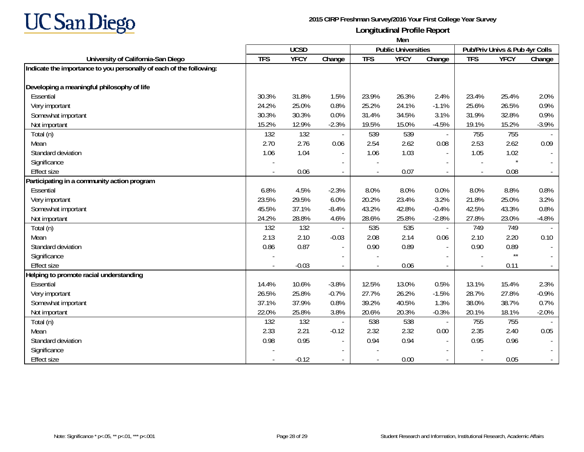

|                                                                     | Men                                       |             |                          |            |             |                          |                                |                 |                  |  |
|---------------------------------------------------------------------|-------------------------------------------|-------------|--------------------------|------------|-------------|--------------------------|--------------------------------|-----------------|------------------|--|
|                                                                     | <b>UCSD</b><br><b>Public Universities</b> |             |                          |            |             |                          | Pub/Priv Univs & Pub 4yr Colls |                 |                  |  |
| University of California-San Diego                                  | <b>TFS</b>                                | <b>YFCY</b> | Change                   | <b>TFS</b> | <b>YFCY</b> | Change                   | <b>TFS</b>                     | <b>YFCY</b>     | Change           |  |
| Indicate the importance to you personally of each of the following: |                                           |             |                          |            |             |                          |                                |                 |                  |  |
| Developing a meaningful philosophy of life                          |                                           |             |                          |            |             |                          |                                |                 |                  |  |
| Essential                                                           | 30.3%                                     | 31.8%       | 1.5%                     | 23.9%      | 26.3%       | 2.4%                     | 23.4%                          | 25.4%           | 2.0%             |  |
| Very important                                                      | 24.2%                                     | 25.0%       | 0.8%                     | 25.2%      | 24.1%       | $-1.1%$                  | 25.6%                          | 26.5%           | 0.9%             |  |
| Somewhat important                                                  | 30.3%                                     | 30.3%       | 0.0%                     | 31.4%      | 34.5%       | 3.1%                     | 31.9%                          | 32.8%           | 0.9%             |  |
| Not important                                                       | 15.2%                                     | 12.9%       | $-2.3%$                  | 19.5%      | 15.0%       | $-4.5%$                  | 19.1%                          | 15.2%           | $-3.9%$          |  |
| Total (n)                                                           | 132                                       | 132         |                          | 539        | 539         | $\sim$                   | 755                            | 755             |                  |  |
| Mean                                                                | 2.70                                      | 2.76        | 0.06                     | 2.54       | 2.62        | 0.08                     | 2.53                           | 2.62            | 0.09             |  |
| Standard deviation                                                  | 1.06                                      | 1.04        | $\blacksquare$           | 1.06       | 1.03        | $\blacksquare$           | 1.05                           | 1.02            | $\sim$           |  |
| Significance                                                        |                                           |             | $\overline{\phantom{a}}$ |            |             |                          |                                |                 |                  |  |
| <b>Effect size</b>                                                  |                                           | 0.06        | $\overline{\phantom{a}}$ |            | 0.07        | $\overline{a}$           |                                | 0.08            | $\omega_{\rm c}$ |  |
| Participating in a community action program                         |                                           |             |                          |            |             |                          |                                |                 |                  |  |
| Essential                                                           | 6.8%                                      | 4.5%        | $-2.3%$                  | 8.0%       | 8.0%        | 0.0%                     | 8.0%                           | 8.8%            | 0.8%             |  |
| Very important                                                      | 23.5%                                     | 29.5%       | 6.0%                     | 20.2%      | 23.4%       | 3.2%                     | 21.8%                          | 25.0%           | 3.2%             |  |
| Somewhat important                                                  | 45.5%                                     | 37.1%       | $-8.4%$                  | 43.2%      | 42.8%       | $-0.4%$                  | 42.5%                          | 43.3%           | 0.8%             |  |
| Not important                                                       | 24.2%                                     | 28.8%       | 4.6%                     | 28.6%      | 25.8%       | $-2.8%$                  | 27.8%                          | 23.0%           | $-4.8%$          |  |
| Total (n)                                                           | 132                                       | 132         |                          | 535        | 535         | $\blacksquare$           | 749                            | 749             |                  |  |
| Mean                                                                | 2.13                                      | 2.10        | $-0.03$                  | 2.08       | 2.14        | 0.06                     | 2.10                           | 2.20            | 0.10             |  |
| Standard deviation                                                  | 0.86                                      | 0.87        | $\overline{\phantom{a}}$ | 0.90       | 0.89        | $\blacksquare$           | 0.90                           | 0.89            | $\sim$           |  |
| Significance                                                        |                                           |             |                          |            |             |                          |                                | $^{\star\star}$ |                  |  |
| <b>Effect size</b>                                                  |                                           | $-0.03$     |                          |            | 0.06        |                          |                                | 0.11            | $\omega_{\rm c}$ |  |
| Helping to promote racial understanding                             |                                           |             |                          |            |             |                          |                                |                 |                  |  |
| Essential                                                           | 14.4%                                     | 10.6%       | $-3.8%$                  | 12.5%      | 13.0%       | 0.5%                     | 13.1%                          | 15.4%           | 2.3%             |  |
| Very important                                                      | 26.5%                                     | 25.8%       | $-0.7%$                  | 27.7%      | 26.2%       | $-1.5%$                  | 28.7%                          | 27.8%           | $-0.9%$          |  |
| Somewhat important                                                  | 37.1%                                     | 37.9%       | 0.8%                     | 39.2%      | 40.5%       | 1.3%                     | 38.0%                          | 38.7%           | 0.7%             |  |
| Not important                                                       | 22.0%                                     | 25.8%       | 3.8%                     | 20.6%      | 20.3%       | $-0.3%$                  | 20.1%                          | 18.1%           | $-2.0%$          |  |
| Total (n)                                                           | 132                                       | 132         |                          | 538        | 538         |                          | 755                            | 755             |                  |  |
| Mean                                                                | 2.33                                      | 2.21        | $-0.12$                  | 2.32       | 2.32        | 0.00                     | 2.35                           | 2.40            | 0.05             |  |
| Standard deviation                                                  | 0.98                                      | 0.95        | $\overline{\phantom{a}}$ | 0.94       | 0.94        | $\overline{\phantom{a}}$ | 0.95                           | 0.96            |                  |  |
| Significance                                                        |                                           |             | $\blacksquare$           |            |             |                          |                                |                 |                  |  |
| <b>Effect size</b>                                                  |                                           | $-0.12$     | $\overline{\phantom{0}}$ |            | 0.00        | $\overline{\phantom{a}}$ |                                | 0.05            | $\sim$           |  |